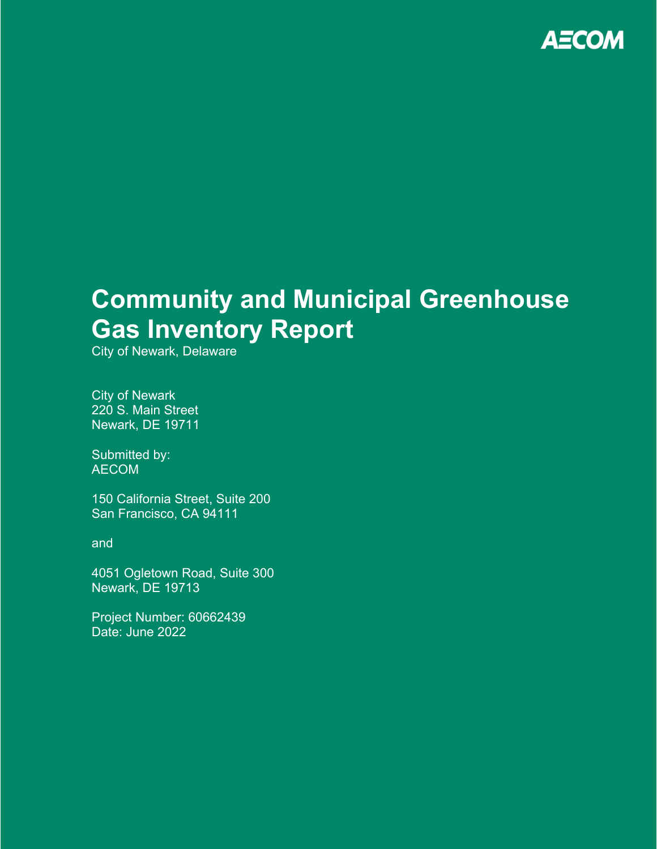

# **Community and Municipal Greenhouse Gas Inventory Report**

City of Newark, Delaware

City of Newark 220 S. Main Street Newark, DE 19711

Submitted by: AECOM

150 California Street, Suite 200 San Francisco, CA 94111

and

4051 Ogletown Road, Suite 300 Newark, DE 19713

Project Number: 60662439 Date: June 2022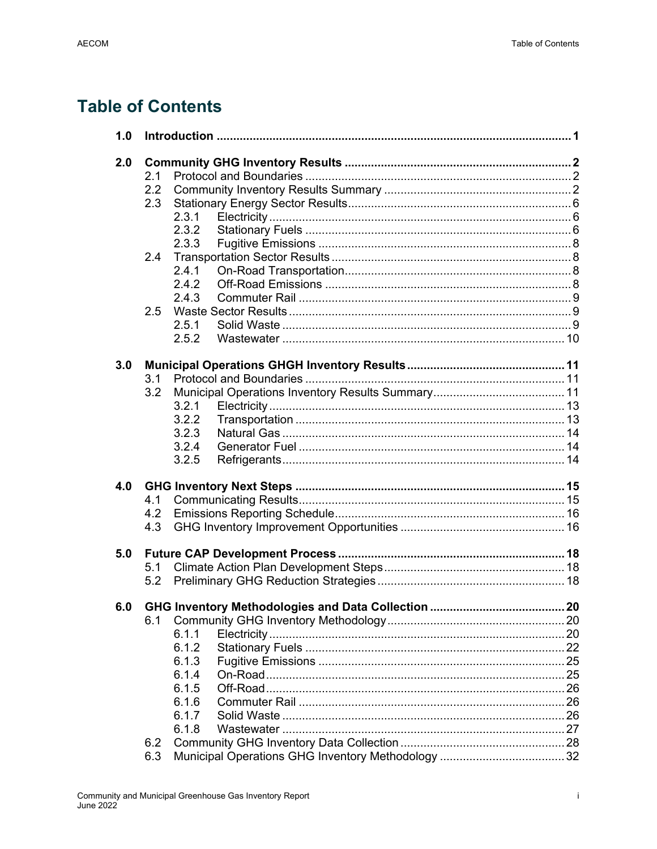## **Table of Contents**

| 1.0 |                  |                                                 |    |
|-----|------------------|-------------------------------------------------|----|
| 2.0 |                  |                                                 |    |
|     | 2.1              |                                                 |    |
|     | $2.2\phantom{0}$ |                                                 |    |
|     | 2.3              |                                                 |    |
|     |                  | 2.3.1                                           |    |
|     |                  | 2.3.2                                           |    |
|     |                  | 2.3.3                                           |    |
|     | 2.4              |                                                 |    |
|     |                  | 2.4.1                                           |    |
|     |                  | 2.4.2                                           |    |
|     |                  | 2.4.3                                           |    |
|     | 2.5              |                                                 |    |
|     |                  | 2.5.1                                           |    |
|     |                  | 2.5.2                                           |    |
|     |                  |                                                 |    |
| 3.0 |                  |                                                 |    |
|     | 3.1              |                                                 |    |
|     | 3.2              |                                                 |    |
|     |                  | 3.2.1                                           |    |
|     |                  | 3.2.2                                           |    |
|     |                  | 3.2.3                                           |    |
|     |                  | 3.2.4                                           |    |
|     |                  | 3.2.5                                           |    |
| 4.0 |                  |                                                 |    |
|     | 4.1              |                                                 |    |
|     | 4.2              |                                                 |    |
|     | 4.3              |                                                 |    |
|     |                  |                                                 |    |
| 5.0 |                  |                                                 |    |
|     | 5.1              |                                                 |    |
|     | 5.2              |                                                 |    |
|     |                  |                                                 |    |
| 6.0 |                  | GHG Inventory Methodologies and Data Collection | 20 |
|     |                  |                                                 |    |
|     |                  | 6.1.1                                           |    |
|     |                  | 6.1.2                                           |    |
|     |                  | 6.1.3                                           |    |
|     |                  | 6.1.4                                           |    |
|     |                  | 6.1.5                                           |    |
|     |                  | 6.1.6                                           |    |
|     |                  | 6.1.7                                           |    |
|     |                  | 6.1.8                                           |    |
|     | 6.2              |                                                 |    |
|     | 6.3              |                                                 |    |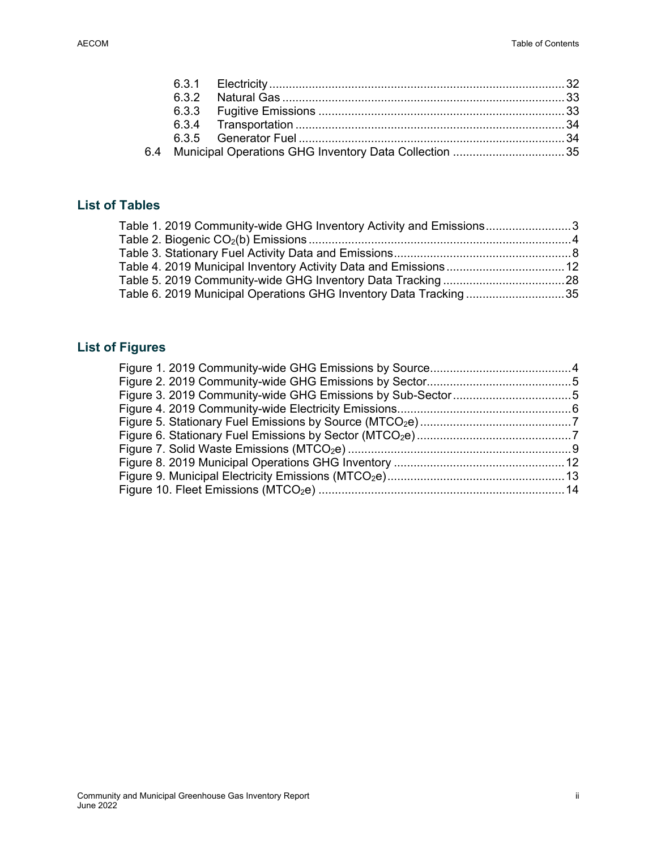|  | 6.4 Municipal Operations GHG Inventory Data Collection 35 |  |
|--|-----------------------------------------------------------|--|

### **List of Tables**

| Table 1. 2019 Community-wide GHG Inventory Activity and Emissions3 |  |
|--------------------------------------------------------------------|--|
|                                                                    |  |
|                                                                    |  |
|                                                                    |  |
|                                                                    |  |
| Table 6. 2019 Municipal Operations GHG Inventory Data Tracking35   |  |
|                                                                    |  |

### **List of Figures**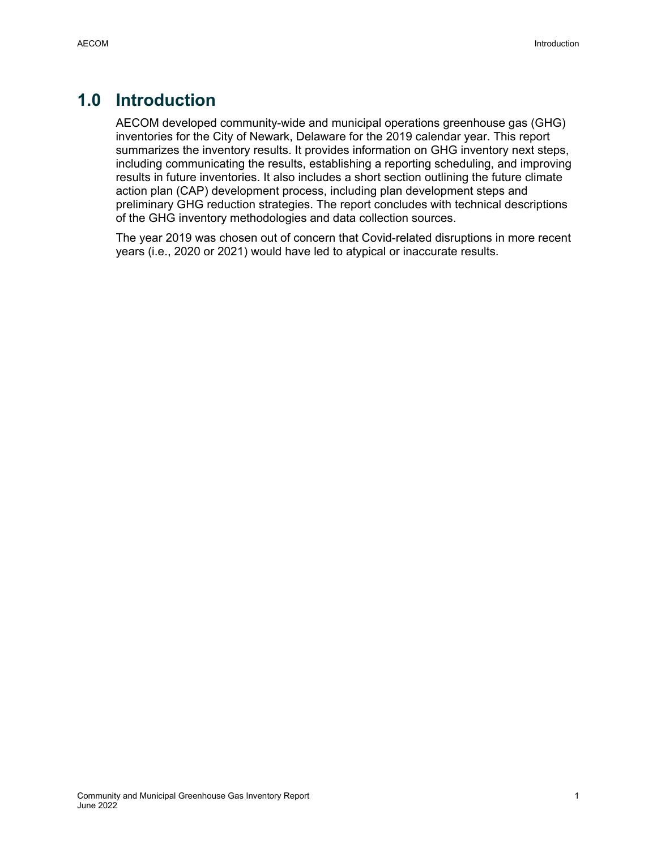## **1.0 Introduction**

AECOM developed community-wide and municipal operations greenhouse gas (GHG) inventories for the City of Newark, Delaware for the 2019 calendar year. This report summarizes the inventory results. It provides information on GHG inventory next steps, including communicating the results, establishing a reporting scheduling, and improving results in future inventories. It also includes a short section outlining the future climate action plan (CAP) development process, including plan development steps and preliminary GHG reduction strategies. The report concludes with technical descriptions of the GHG inventory methodologies and data collection sources.

The year 2019 was chosen out of concern that Covid-related disruptions in more recent years (i.e., 2020 or 2021) would have led to atypical or inaccurate results.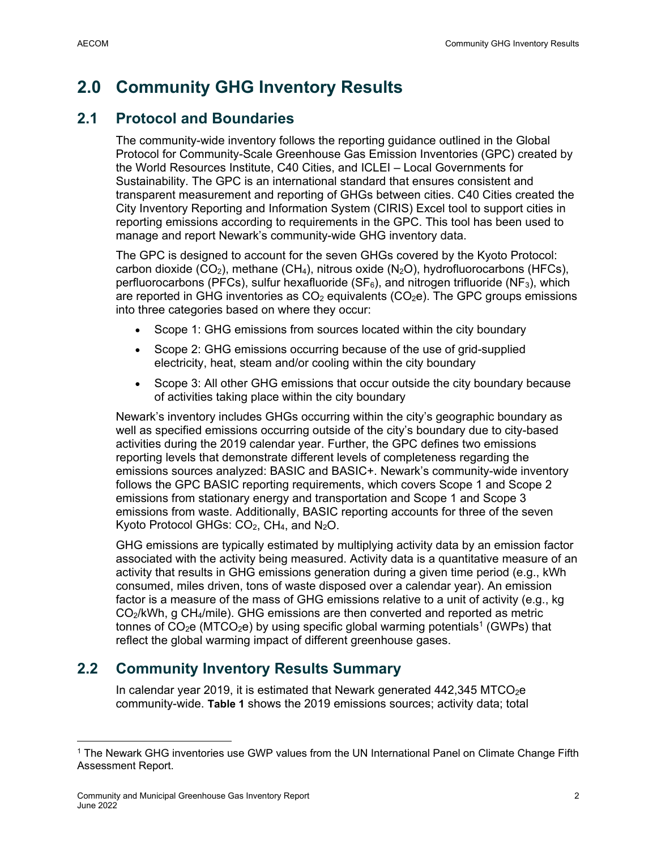## **2.0 Community GHG Inventory Results**

### **2.1 Protocol and Boundaries**

The community-wide inventory follows the reporting guidance outlined in the Global Protocol for Community-Scale Greenhouse Gas Emission Inventories (GPC) created by the World Resources Institute, C40 Cities, and ICLEI – Local Governments for Sustainability. The GPC is an international standard that ensures consistent and transparent measurement and reporting of GHGs between cities. C40 Cities created the City Inventory Reporting and Information System (CIRIS) Excel tool to support cities in reporting emissions according to requirements in the GPC. This tool has been used to manage and report Newark's community-wide GHG inventory data.

The GPC is designed to account for the seven GHGs covered by the Kyoto Protocol: carbon dioxide (CO<sub>2</sub>), methane (CH<sub>4</sub>), nitrous oxide (N<sub>2</sub>O), hydrofluorocarbons (HFCs), perfluorocarbons (PFCs), sulfur hexafluoride ( $SF_6$ ), and nitrogen trifluoride (NF<sub>3</sub>), which are reported in GHG inventories as  $CO<sub>2</sub>$  equivalents (CO<sub>2</sub>e). The GPC groups emissions into three categories based on where they occur:

- Scope 1: GHG emissions from sources located within the city boundary
- Scope 2: GHG emissions occurring because of the use of grid-supplied electricity, heat, steam and/or cooling within the city boundary
- Scope 3: All other GHG emissions that occur outside the city boundary because of activities taking place within the city boundary

Newark's inventory includes GHGs occurring within the city's geographic boundary as well as specified emissions occurring outside of the city's boundary due to city-based activities during the 2019 calendar year. Further, the GPC defines two emissions reporting levels that demonstrate different levels of completeness regarding the emissions sources analyzed: BASIC and BASIC+. Newark's community-wide inventory follows the GPC BASIC reporting requirements, which covers Scope 1 and Scope 2 emissions from stationary energy and transportation and Scope 1 and Scope 3 emissions from waste. Additionally, BASIC reporting accounts for three of the seven Kyoto Protocol GHGs:  $CO<sub>2</sub>$ , CH<sub>4</sub>, and N<sub>2</sub>O.

GHG emissions are typically estimated by multiplying activity data by an emission factor associated with the activity being measured. Activity data is a quantitative measure of an activity that results in GHG emissions generation during a given time period (e.g., kWh consumed, miles driven, tons of waste disposed over a calendar year). An emission factor is a measure of the mass of GHG emissions relative to a unit of activity (e.g., kg CO2/kWh, g CH4/mile). GHG emissions are then converted and reported as metric tonnes of  $CO<sub>2</sub>e$  (MTCO<sub>2</sub>e) by using specific global warming potentials<sup>1</sup> (GWPs) that reflect the global warming impact of different greenhouse gases.

## **2.2 Community Inventory Results Summary**

In calendar year 2019, it is estimated that Newark generated  $442,345$  MTCO<sub>2</sub>e community-wide. **Table 1** shows the 2019 emissions sources; activity data; total

<sup>&</sup>lt;sup>1</sup> The Newark GHG inventories use GWP values from the UN International Panel on Climate Change Fifth Assessment Report.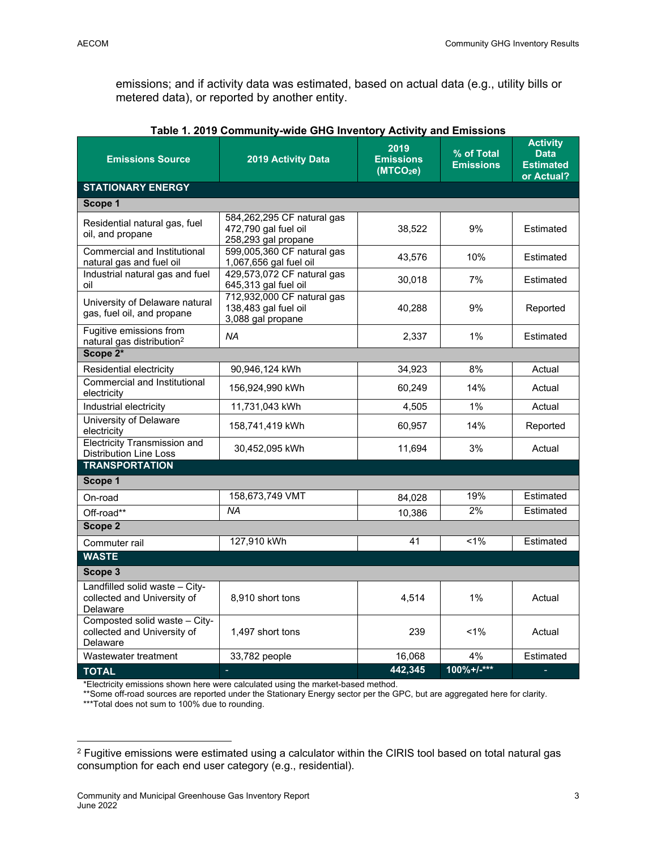emissions; and if activity data was estimated, based on actual data (e.g., utility bills or metered data), or reported by another entity.

| <b>Emissions Source</b>                                                   | 2019 Activity Data                                                        | 2019<br><b>Emissions</b><br>(MTCO <sub>2</sub> e) | % of Total<br><b>Emissions</b> | <b>Activity</b><br><b>Data</b><br><b>Estimated</b><br>or Actual? |  |  |
|---------------------------------------------------------------------------|---------------------------------------------------------------------------|---------------------------------------------------|--------------------------------|------------------------------------------------------------------|--|--|
| <b>STATIONARY ENERGY</b>                                                  |                                                                           |                                                   |                                |                                                                  |  |  |
| Scope 1                                                                   |                                                                           |                                                   |                                |                                                                  |  |  |
| Residential natural gas, fuel<br>oil, and propane                         | 584,262,295 CF natural gas<br>472,790 gal fuel oil<br>258,293 gal propane | 38,522                                            | 9%                             | Estimated                                                        |  |  |
| Commercial and Institutional<br>natural gas and fuel oil                  | 599,005,360 CF natural gas<br>1,067,656 gal fuel oil                      | 43,576                                            | 10%                            | Estimated                                                        |  |  |
| Industrial natural gas and fuel<br>oil                                    | 429,573,072 CF natural gas<br>645,313 gal fuel oil                        | 30,018                                            | 7%                             | Estimated                                                        |  |  |
| University of Delaware natural<br>gas, fuel oil, and propane              | 712,932,000 CF natural gas<br>138,483 gal fuel oil<br>3,088 gal propane   | 40,288                                            | 9%                             | Reported                                                         |  |  |
| Fugitive emissions from<br>natural gas distribution <sup>2</sup>          | NA                                                                        | 2,337                                             | $1\%$                          | Estimated                                                        |  |  |
| Scope 2*                                                                  |                                                                           |                                                   |                                |                                                                  |  |  |
| Residential electricity                                                   | 90,946,124 kWh                                                            | 34,923                                            | 8%                             | Actual                                                           |  |  |
| Commercial and Institutional<br>electricity                               | 156,924,990 kWh                                                           | 60,249                                            | 14%                            | Actual                                                           |  |  |
| Industrial electricity                                                    | 11,731,043 kWh                                                            | 4,505                                             | $1\%$                          | Actual                                                           |  |  |
| University of Delaware<br>electricity                                     | 158,741,419 kWh                                                           | 60,957                                            | 14%                            | Reported                                                         |  |  |
| <b>Electricity Transmission and</b><br><b>Distribution Line Loss</b>      | 30,452,095 kWh                                                            | 11,694                                            | 3%                             | Actual                                                           |  |  |
| <b>TRANSPORTATION</b>                                                     |                                                                           |                                                   |                                |                                                                  |  |  |
| Scope 1                                                                   |                                                                           |                                                   |                                |                                                                  |  |  |
| On-road                                                                   | 158,673,749 VMT                                                           | 84,028                                            | 19%                            | Estimated                                                        |  |  |
| Off-road**                                                                | ΝA                                                                        | 10.386                                            | 2%                             | Estimated                                                        |  |  |
| Scope 2                                                                   |                                                                           |                                                   |                                |                                                                  |  |  |
| Commuter rail                                                             | 127,910 kWh                                                               | 41                                                | 1%                             | Estimated                                                        |  |  |
| <b>WASTE</b>                                                              |                                                                           |                                                   |                                |                                                                  |  |  |
| Scope 3                                                                   |                                                                           |                                                   |                                |                                                                  |  |  |
| Landfilled solid waste - City-<br>collected and University of<br>Delaware | 8,910 short tons                                                          | 4,514                                             | 1%                             | Actual                                                           |  |  |
| Composted solid waste - City-<br>collected and University of<br>Delaware  | 1,497 short tons                                                          | 239                                               | 1%                             | Actual                                                           |  |  |
| Wastewater treatment                                                      | 33,782 people                                                             | 16,068                                            | 4%                             | Estimated                                                        |  |  |
| <b>TOTAL</b>                                                              | ÷,                                                                        | 442,345                                           | $100\% + L***$                 | ÷                                                                |  |  |

| Table 1. 2019 Community-wide GHG Inventory Activity and Emissions |  |  |
|-------------------------------------------------------------------|--|--|

\*Electricity emissions shown here were calculated using the market-based method.

<sup>\*\*</sup>Some off-road sources are reported under the Stationary Energy sector per the GPC, but are aggregated here for clarity.

<sup>\*\*\*</sup>Total does not sum to 100% due to rounding.

<sup>&</sup>lt;sup>2</sup> Fugitive emissions were estimated using a calculator within the CIRIS tool based on total natural gas consumption for each end user category (e.g., residential).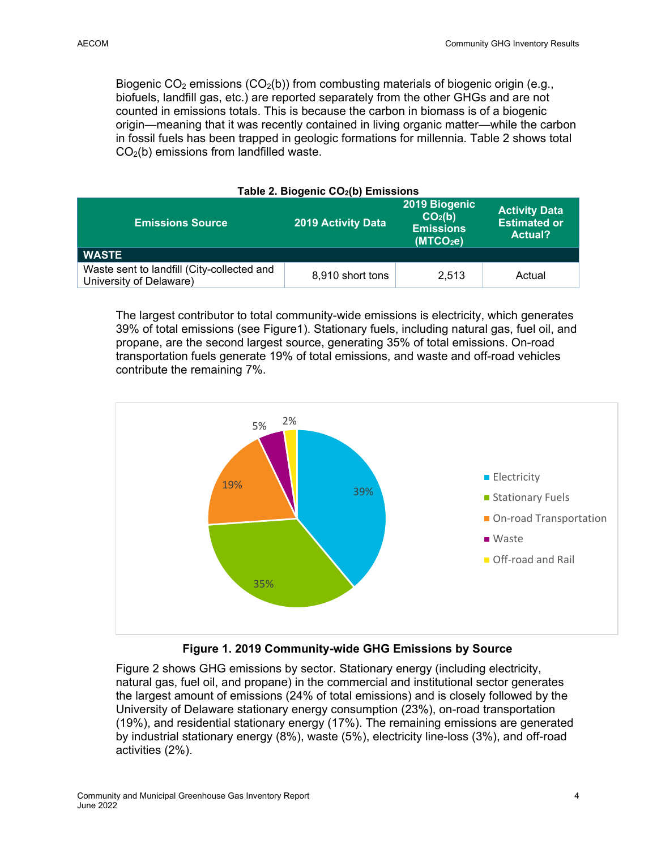Biogenic  $CO<sub>2</sub>$  emissions ( $CO<sub>2</sub>(b)$ ) from combusting materials of biogenic origin (e.g., biofuels, landfill gas, etc.) are reported separately from the other GHGs and are not counted in emissions totals. This is because the carbon in biomass is of a biogenic origin—meaning that it was recently contained in living organic matter—while the carbon in fossil fuels has been trapped in geologic formations for millennia. Table 2 shows total  $CO<sub>2</sub>(b)$  emissions from landfilled waste.

| Table 2. Biogenic CO2(D) Emissions                                    |                           |                                                                                   |                                                               |  |  |
|-----------------------------------------------------------------------|---------------------------|-----------------------------------------------------------------------------------|---------------------------------------------------------------|--|--|
| <b>Emissions Source</b>                                               | <b>2019 Activity Data</b> | 2019 Biogenic<br>CO <sub>2</sub> (b)<br><b>Emissions</b><br>(MTCO <sub>2</sub> e) | <b>Activity Data</b><br><b>Estimated or</b><br><b>Actual?</b> |  |  |
| <b>WASTE</b>                                                          |                           |                                                                                   |                                                               |  |  |
| Waste sent to landfill (City-collected and<br>University of Delaware) | 8,910 short tons          | 2.513                                                                             | Actual                                                        |  |  |

**Table 2. Biogenic CO2(b) Emissions** 

The largest contributor to total community-wide emissions is electricity, which generates 39% of total emissions (see Figure1). Stationary fuels, including natural gas, fuel oil, and propane, are the second largest source, generating 35% of total emissions. On-road transportation fuels generate 19% of total emissions, and waste and off-road vehicles contribute the remaining 7%.



### **Figure 1. 2019 Community-wide GHG Emissions by Source**

Figure 2 shows GHG emissions by sector. Stationary energy (including electricity, natural gas, fuel oil, and propane) in the commercial and institutional sector generates the largest amount of emissions (24% of total emissions) and is closely followed by the University of Delaware stationary energy consumption (23%), on-road transportation (19%), and residential stationary energy (17%). The remaining emissions are generated by industrial stationary energy (8%), waste (5%), electricity line-loss (3%), and off-road activities (2%).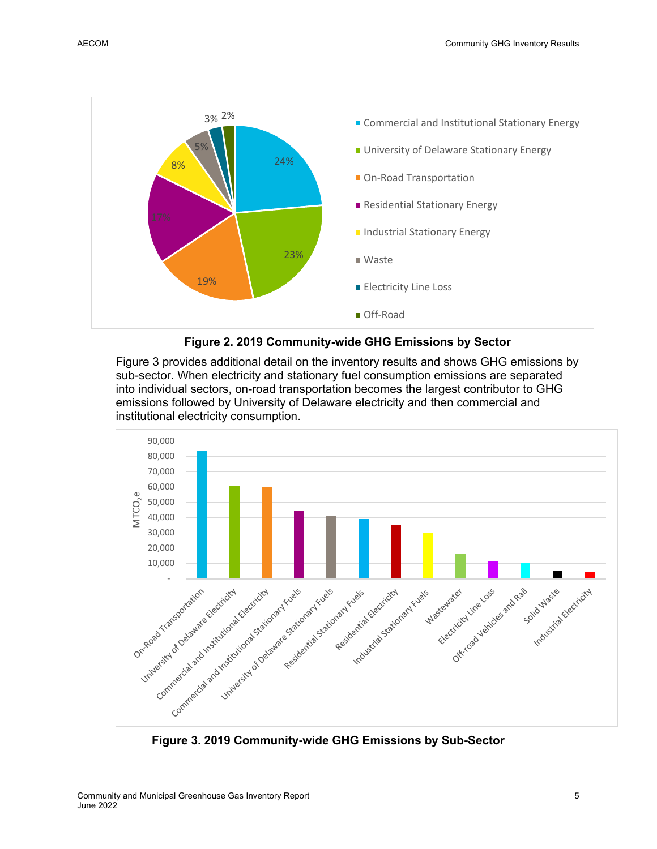



Figure 3 provides additional detail on the inventory results and shows GHG emissions by sub-sector. When electricity and stationary fuel consumption emissions are separated into individual sectors, on-road transportation becomes the largest contributor to GHG emissions followed by University of Delaware electricity and then commercial and institutional electricity consumption.



**Figure 3. 2019 Community-wide GHG Emissions by Sub-Sector**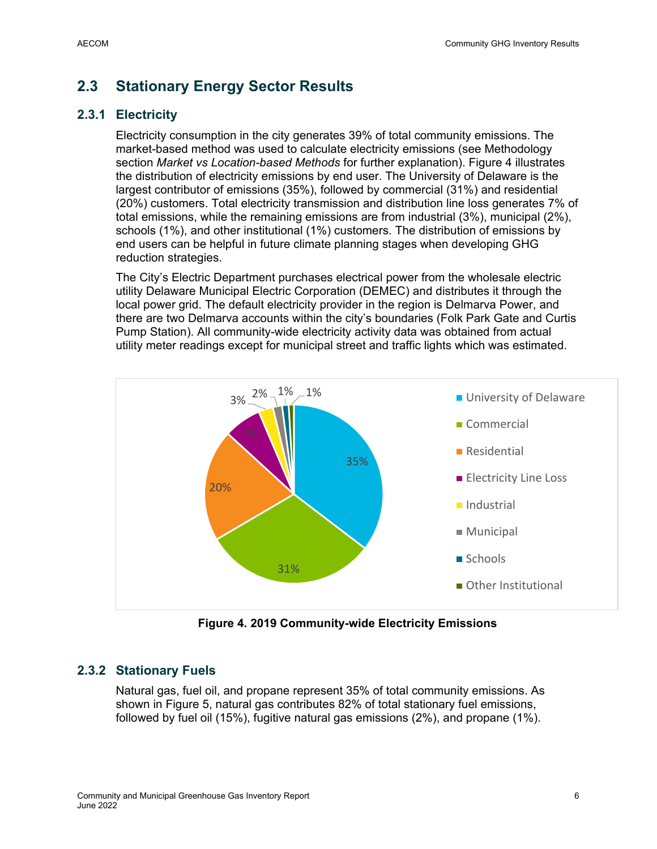## **2.3 Stationary Energy Sector Results**

### **2.3.1 Electricity**

Electricity consumption in the city generates 39% of total community emissions. The market-based method was used to calculate electricity emissions (see Methodology section *Market vs Location-based Methods* for further explanation). Figure 4 illustrates the distribution of electricity emissions by end user. The University of Delaware is the largest contributor of emissions (35%), followed by commercial (31%) and residential (20%) customers. Total electricity transmission and distribution line loss generates 7% of total emissions, while the remaining emissions are from industrial (3%), municipal (2%), schools (1%), and other institutional (1%) customers. The distribution of emissions by end users can be helpful in future climate planning stages when developing GHG reduction strategies.

The City's Electric Department purchases electrical power from the wholesale electric utility Delaware Municipal Electric Corporation (DEMEC) and distributes it through the local power grid. The default electricity provider in the region is Delmarva Power, and there are two Delmarva accounts within the city's boundaries (Folk Park Gate and Curtis Pump Station). All community-wide electricity activity data was obtained from actual utility meter readings except for municipal street and traffic lights which was estimated.



**Figure 4. 2019 Community-wide Electricity Emissions** 

### **2.3.2 Stationary Fuels**

Natural gas, fuel oil, and propane represent 35% of total community emissions. As shown in Figure 5, natural gas contributes 82% of total stationary fuel emissions, followed by fuel oil (15%), fugitive natural gas emissions (2%), and propane (1%).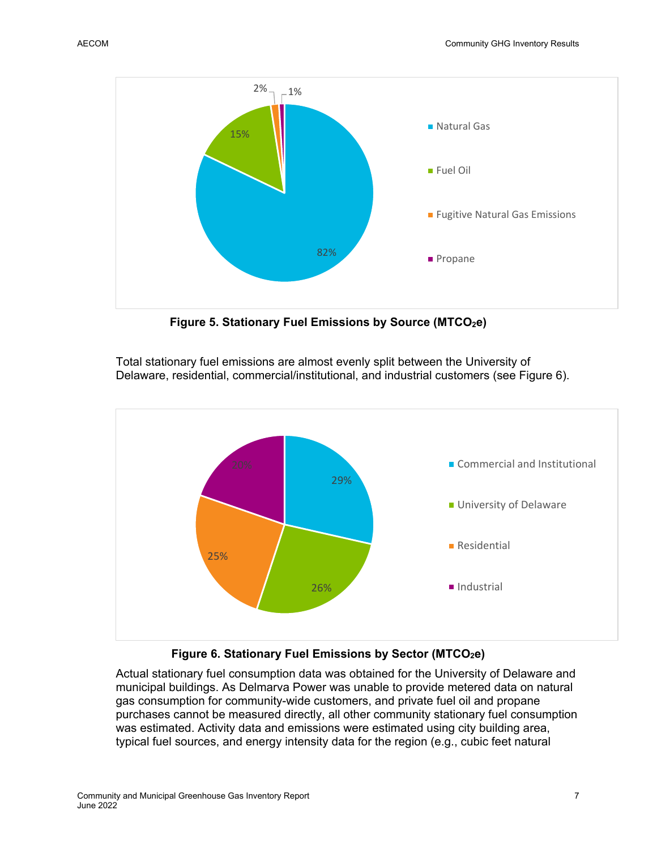

Figure 5. Stationary Fuel Emissions by Source (MTCO<sub>2</sub>e)

Total stationary fuel emissions are almost evenly split between the University of Delaware, residential, commercial/institutional, and industrial customers (see Figure 6).



### Figure 6. Stationary Fuel Emissions by Sector (MTCO<sub>2</sub>e)

Actual stationary fuel consumption data was obtained for the University of Delaware and municipal buildings. As Delmarva Power was unable to provide metered data on natural gas consumption for community-wide customers, and private fuel oil and propane purchases cannot be measured directly, all other community stationary fuel consumption was estimated. Activity data and emissions were estimated using city building area, typical fuel sources, and energy intensity data for the region (e.g., cubic feet natural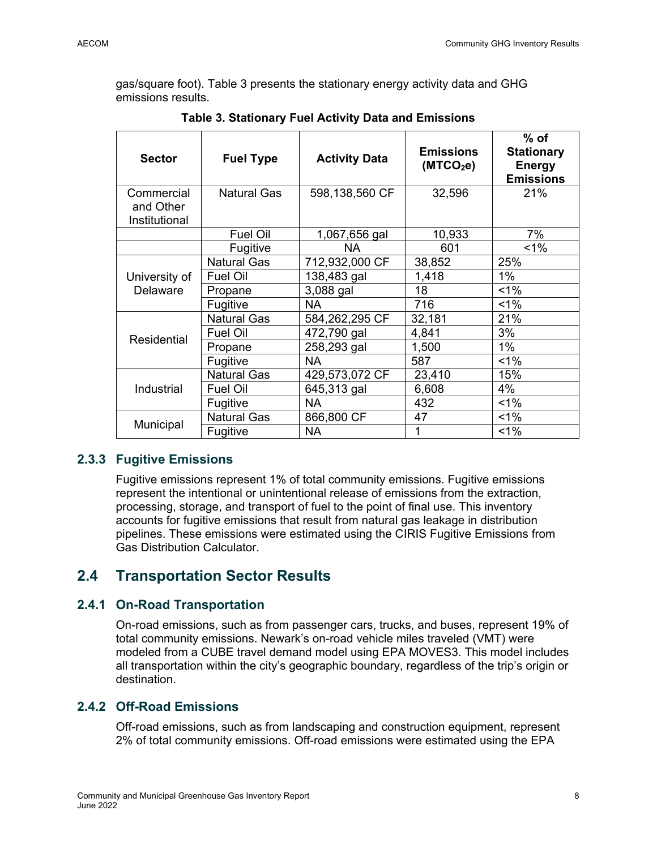gas/square foot). Table 3 presents the stationary energy activity data and GHG emissions results.

| <b>Sector</b>                            | <b>Fuel Type</b>   | <b>Activity Data</b> | <b>Emissions</b><br>(MTCO <sub>2</sub> e) | $%$ of<br><b>Stationary</b><br><b>Energy</b><br><b>Emissions</b> |
|------------------------------------------|--------------------|----------------------|-------------------------------------------|------------------------------------------------------------------|
| Commercial<br>and Other<br>Institutional | <b>Natural Gas</b> | 598,138,560 CF       | 32,596                                    | 21%                                                              |
|                                          | <b>Fuel Oil</b>    | 1,067,656 gal        | 10,933                                    | 7%                                                               |
|                                          | Fugitive           | <b>NA</b>            | 601                                       | $1\%$                                                            |
|                                          | <b>Natural Gas</b> | 712,932,000 CF       | 38,852                                    | 25%                                                              |
| University of                            | <b>Fuel Oil</b>    | 138,483 gal          | 1,418                                     | $1\%$                                                            |
| <b>Delaware</b>                          | Propane            | 3,088 gal            | 18                                        | $1\%$                                                            |
|                                          | Fugitive           | <b>NA</b>            | 716                                       | 1%                                                               |
|                                          | <b>Natural Gas</b> | 584,262,295 CF       | 32,181                                    | 21%                                                              |
| <b>Residential</b>                       | <b>Fuel Oil</b>    | 472,790 gal          | 4,841                                     | 3%                                                               |
|                                          | Propane            | 258,293 gal          | 1,500                                     | $1\%$                                                            |
|                                          | Fugitive           | NA.                  | 587                                       | 1%                                                               |
|                                          | <b>Natural Gas</b> | 429,573,072 CF       | 23,410                                    | 15%                                                              |
| Industrial                               | <b>Fuel Oil</b>    | 645,313 gal          | 6,608                                     | 4%                                                               |
|                                          | Fugitive           | <b>NA</b>            | 432                                       | $1\%$                                                            |
|                                          | <b>Natural Gas</b> | 866,800 CF           | 47                                        | $1\%$                                                            |
| Municipal                                | Fugitive           | <b>NA</b>            | 1                                         | $1\%$                                                            |

**Table 3. Stationary Fuel Activity Data and Emissions** 

### **2.3.3 Fugitive Emissions**

Fugitive emissions represent 1% of total community emissions. Fugitive emissions represent the intentional or unintentional release of emissions from the extraction, processing, storage, and transport of fuel to the point of final use. This inventory accounts for fugitive emissions that result from natural gas leakage in distribution pipelines. These emissions were estimated using the CIRIS Fugitive Emissions from Gas Distribution Calculator.

### **2.4 Transportation Sector Results**

### **2.4.1 On-Road Transportation**

On-road emissions, such as from passenger cars, trucks, and buses, represent 19% of total community emissions. Newark's on-road vehicle miles traveled (VMT) were modeled from a CUBE travel demand model using EPA MOVES3. This model includes all transportation within the city's geographic boundary, regardless of the trip's origin or destination.

### **2.4.2 Off-Road Emissions**

Off-road emissions, such as from landscaping and construction equipment, represent 2% of total community emissions. Off-road emissions were estimated using the EPA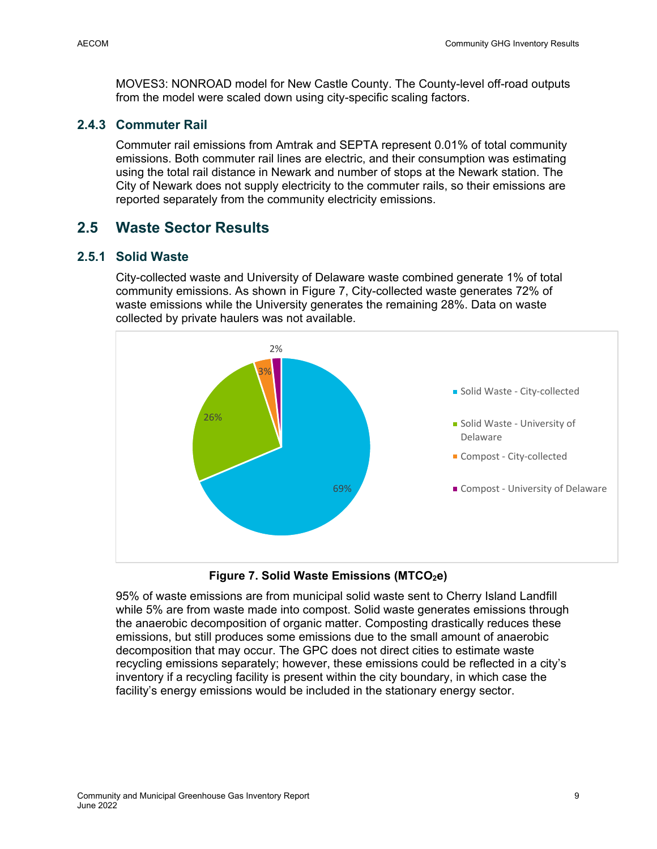MOVES3: NONROAD model for New Castle County. The County-level off-road outputs from the model were scaled down using city-specific scaling factors.

#### **2.4.3 Commuter Rail**

Commuter rail emissions from Amtrak and SEPTA represent 0.01% of total community emissions. Both commuter rail lines are electric, and their consumption was estimating using the total rail distance in Newark and number of stops at the Newark station. The City of Newark does not supply electricity to the commuter rails, so their emissions are reported separately from the community electricity emissions.

### **2.5 Waste Sector Results**

### **2.5.1 Solid Waste**

City-collected waste and University of Delaware waste combined generate 1% of total community emissions. As shown in Figure 7, City-collected waste generates 72% of waste emissions while the University generates the remaining 28%. Data on waste collected by private haulers was not available.



Figure 7. Solid Waste Emissions (MTCO<sub>2</sub>e)

95% of waste emissions are from municipal solid waste sent to Cherry Island Landfill while 5% are from waste made into compost. Solid waste generates emissions through the anaerobic decomposition of organic matter. Composting drastically reduces these emissions, but still produces some emissions due to the small amount of anaerobic decomposition that may occur. The GPC does not direct cities to estimate waste recycling emissions separately; however, these emissions could be reflected in a city's inventory if a recycling facility is present within the city boundary, in which case the facility's energy emissions would be included in the stationary energy sector.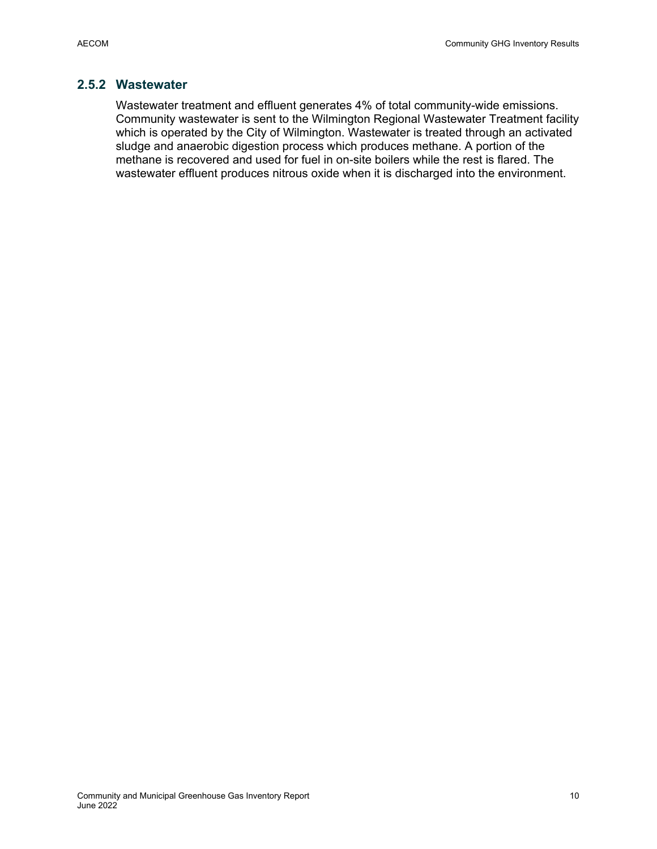### **2.5.2 Wastewater**

Wastewater treatment and effluent generates 4% of total community-wide emissions. Community wastewater is sent to the Wilmington Regional Wastewater Treatment facility which is operated by the City of Wilmington. Wastewater is treated through an activated sludge and anaerobic digestion process which produces methane. A portion of the methane is recovered and used for fuel in on-site boilers while the rest is flared. The wastewater effluent produces nitrous oxide when it is discharged into the environment.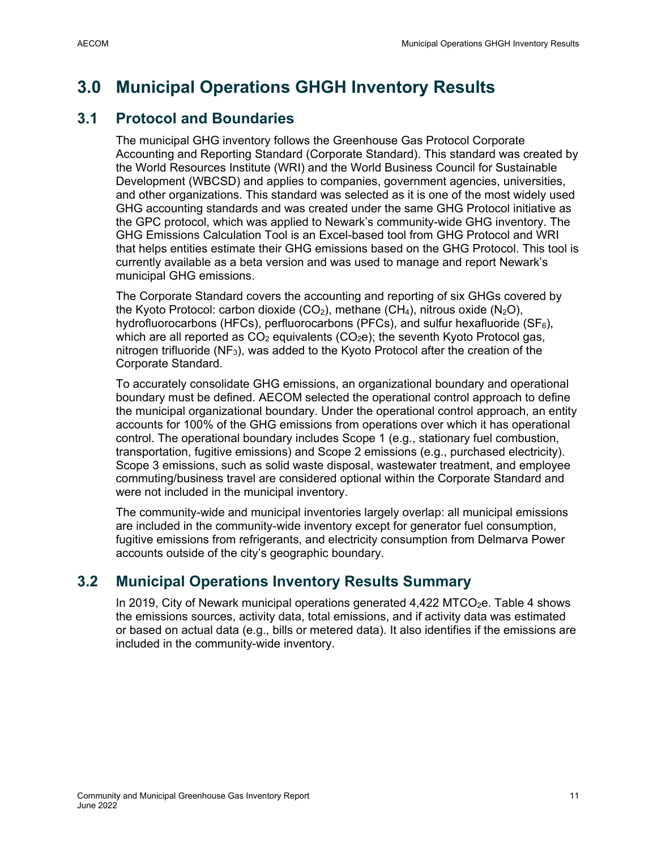## **3.0 Municipal Operations GHGH Inventory Results**

### **3.1 Protocol and Boundaries**

The municipal GHG inventory follows the Greenhouse Gas Protocol Corporate Accounting and Reporting Standard (Corporate Standard). This standard was created by the World Resources Institute (WRI) and the World Business Council for Sustainable Development (WBCSD) and applies to companies, government agencies, universities, and other organizations. This standard was selected as it is one of the most widely used GHG accounting standards and was created under the same GHG Protocol initiative as the GPC protocol, which was applied to Newark's community-wide GHG inventory. The GHG Emissions Calculation Tool is an Excel-based tool from GHG Protocol and WRI that helps entities estimate their GHG emissions based on the GHG Protocol. This tool is currently available as a beta version and was used to manage and report Newark's municipal GHG emissions.

The Corporate Standard covers the accounting and reporting of six GHGs covered by the Kyoto Protocol: carbon dioxide (CO<sub>2</sub>), methane (CH<sub>4</sub>), nitrous oxide (N<sub>2</sub>O), hydrofluorocarbons (HFCs), perfluorocarbons (PFCs), and sulfur hexafluoride (SF $_6$ ), which are all reported as  $CO<sub>2</sub>$  equivalents ( $CO<sub>2</sub>e$ ); the seventh Kyoto Protocol gas, nitrogen trifluoride  $(NF_3)$ , was added to the Kyoto Protocol after the creation of the Corporate Standard.

To accurately consolidate GHG emissions, an organizational boundary and operational boundary must be defined. AECOM selected the operational control approach to define the municipal organizational boundary. Under the operational control approach, an entity accounts for 100% of the GHG emissions from operations over which it has operational control. The operational boundary includes Scope 1 (e.g., stationary fuel combustion, transportation, fugitive emissions) and Scope 2 emissions (e.g., purchased electricity). Scope 3 emissions, such as solid waste disposal, wastewater treatment, and employee commuting/business travel are considered optional within the Corporate Standard and were not included in the municipal inventory.

The community-wide and municipal inventories largely overlap: all municipal emissions are included in the community-wide inventory except for generator fuel consumption, fugitive emissions from refrigerants, and electricity consumption from Delmarva Power accounts outside of the city's geographic boundary.

## **3.2 Municipal Operations Inventory Results Summary**

In 2019, City of Newark municipal operations generated  $4,422$  MTCO<sub>2</sub>e. Table 4 shows the emissions sources, activity data, total emissions, and if activity data was estimated or based on actual data (e.g., bills or metered data). It also identifies if the emissions are included in the community-wide inventory.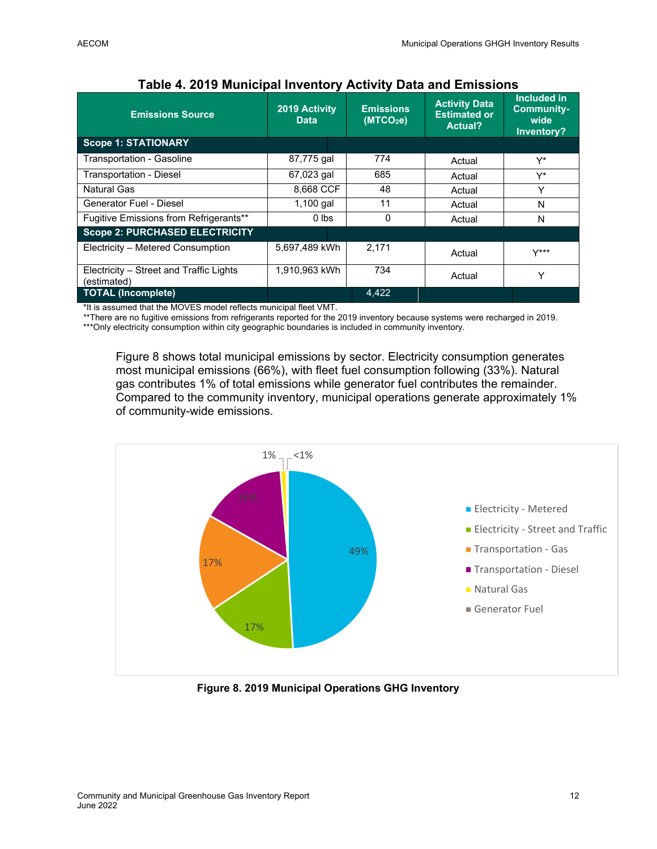| <b>Emissions Source</b>                                | 2019 Activity<br><b>Data</b> | <b>Emissions</b><br>(MTCO <sub>2</sub> e) | <b>Activity Data</b><br><b>Estimated or</b><br><b>Actual?</b> | Included in<br><b>Community-</b><br>wide<br>Inventory? |
|--------------------------------------------------------|------------------------------|-------------------------------------------|---------------------------------------------------------------|--------------------------------------------------------|
| <b>Scope 1: STATIONARY</b>                             |                              |                                           |                                                               |                                                        |
| Transportation - Gasoline                              | 87,775 gal                   | 774                                       | Actual                                                        | Y*                                                     |
| Transportation - Diesel                                | 67,023 gal                   | 685                                       | Actual                                                        | Y*                                                     |
| Natural Gas                                            | 8,668 CCF                    | 48                                        | Actual                                                        | Y                                                      |
| Generator Fuel - Diesel                                | $1,100$ gal                  | 11                                        | Actual                                                        | N                                                      |
| Fugitive Emissions from Refrigerants**                 | $0$ lbs                      | $\Omega$                                  | Actual                                                        | N                                                      |
| <b>Scope 2: PURCHASED ELECTRICITY</b>                  |                              |                                           |                                                               |                                                        |
| Electricity - Metered Consumption                      | 5,697,489 kWh                | 2.171                                     | Actual                                                        | $Y***$                                                 |
| Electricity – Street and Traffic Lights<br>(estimated) | 1,910,963 kWh                | 734                                       | Actual                                                        | Y                                                      |
| <b>TOTAL (Incomplete)</b>                              |                              | 4.422                                     |                                                               |                                                        |

### **Table 4. 2019 Municipal Inventory Activity Data and Emissions**

\*It is assumed that the MOVES model reflects municipal fleet VMT.

\*\*There are no fugitive emissions from refrigerants reported for the 2019 inventory because systems were recharged in 2019.

\*\*\*Only electricity consumption within city geographic boundaries is included in community inventory.

Figure 8 shows total municipal emissions by sector. Electricity consumption generates most municipal emissions (66%), with fleet fuel consumption following (33%). Natural gas contributes 1% of total emissions while generator fuel contributes the remainder. Compared to the community inventory, municipal operations generate approximately 1% of community-wide emissions.



**Figure 8. 2019 Municipal Operations GHG Inventory**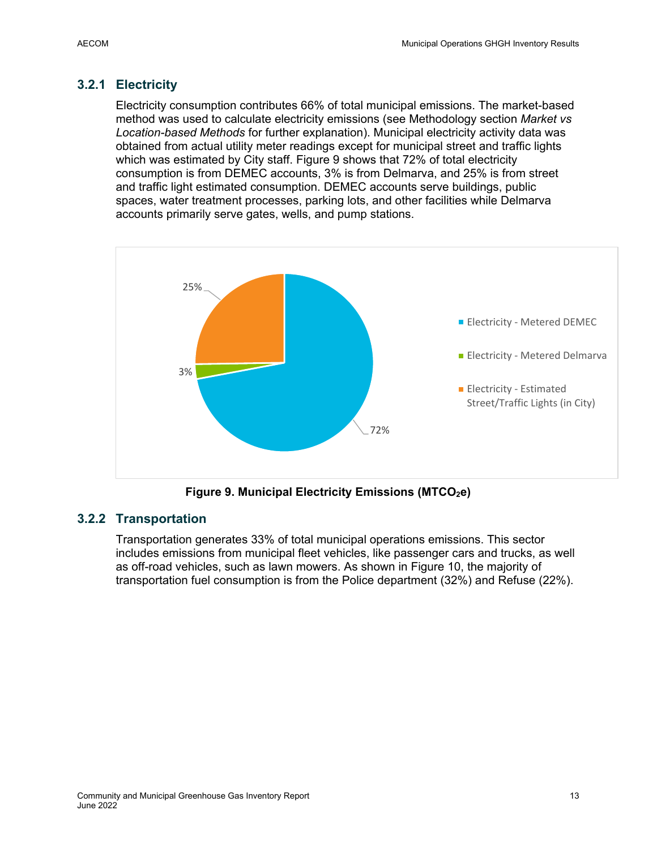### **3.2.1 Electricity**

Electricity consumption contributes 66% of total municipal emissions. The market-based method was used to calculate electricity emissions (see Methodology section *Market vs Location-based Methods* for further explanation). Municipal electricity activity data was obtained from actual utility meter readings except for municipal street and traffic lights which was estimated by City staff. Figure 9 shows that 72% of total electricity consumption is from DEMEC accounts, 3% is from Delmarva, and 25% is from street and traffic light estimated consumption. DEMEC accounts serve buildings, public spaces, water treatment processes, parking lots, and other facilities while Delmarva accounts primarily serve gates, wells, and pump stations.



Figure 9. Municipal Electricity Emissions (MTCO<sub>2</sub>e)

### **3.2.2 Transportation**

Transportation generates 33% of total municipal operations emissions. This sector includes emissions from municipal fleet vehicles, like passenger cars and trucks, as well as off-road vehicles, such as lawn mowers. As shown in Figure 10, the majority of transportation fuel consumption is from the Police department (32%) and Refuse (22%).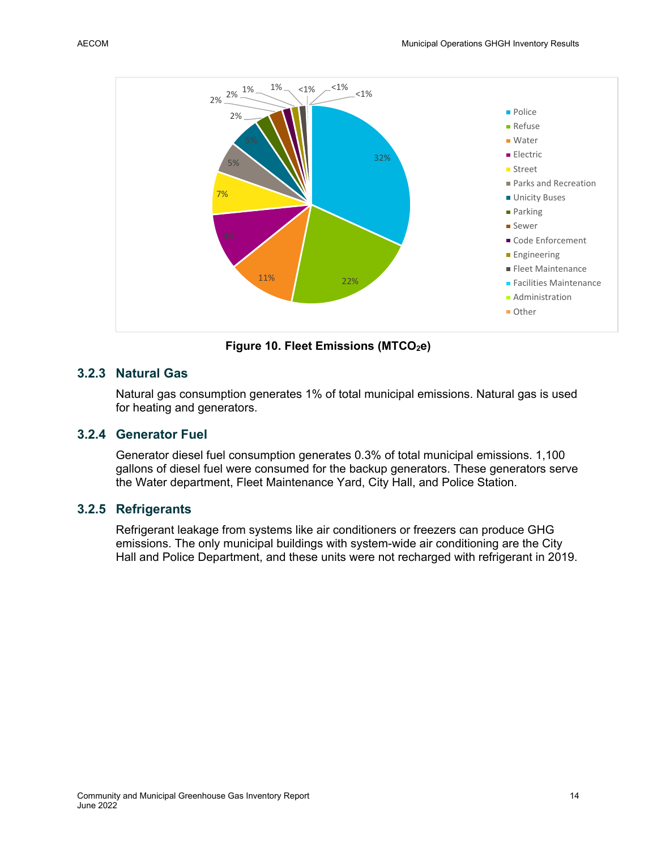

Figure 10. Fleet Emissions (MTCO<sub>2</sub>e)

#### **3.2.3 Natural Gas**

Natural gas consumption generates 1% of total municipal emissions. Natural gas is used for heating and generators.

#### **3.2.4 Generator Fuel**

Generator diesel fuel consumption generates 0.3% of total municipal emissions. 1,100 gallons of diesel fuel were consumed for the backup generators. These generators serve the Water department, Fleet Maintenance Yard, City Hall, and Police Station.

#### **3.2.5 Refrigerants**

Refrigerant leakage from systems like air conditioners or freezers can produce GHG emissions. The only municipal buildings with system-wide air conditioning are the City Hall and Police Department, and these units were not recharged with refrigerant in 2019.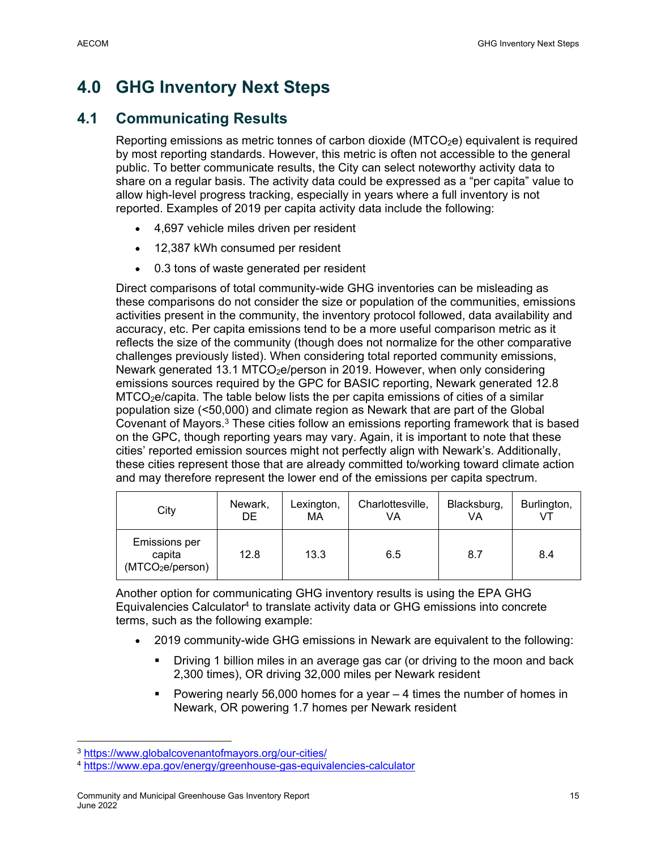## **4.0 GHG Inventory Next Steps**

### **4.1 Communicating Results**

Reporting emissions as metric tonnes of carbon dioxide ( $MTCO<sub>2</sub>e$ ) equivalent is required by most reporting standards. However, this metric is often not accessible to the general public. To better communicate results, the City can select noteworthy activity data to share on a regular basis. The activity data could be expressed as a "per capita" value to allow high-level progress tracking, especially in years where a full inventory is not reported. Examples of 2019 per capita activity data include the following:

- 4,697 vehicle miles driven per resident
- 12,387 kWh consumed per resident
- 0.3 tons of waste generated per resident

Direct comparisons of total community-wide GHG inventories can be misleading as these comparisons do not consider the size or population of the communities, emissions activities present in the community, the inventory protocol followed, data availability and accuracy, etc. Per capita emissions tend to be a more useful comparison metric as it reflects the size of the community (though does not normalize for the other comparative challenges previously listed). When considering total reported community emissions, Newark generated 13.1 MTCO<sub>2</sub>e/person in 2019. However, when only considering emissions sources required by the GPC for BASIC reporting, Newark generated 12.8  $MTCO<sub>2</sub>e/capita.$  The table below lists the per capita emissions of cities of a similar population size (<50,000) and climate region as Newark that are part of the Global Covenant of Mayors.3 These cities follow an emissions reporting framework that is based on the GPC, though reporting years may vary. Again, it is important to note that these cities' reported emission sources might not perfectly align with Newark's. Additionally, these cities represent those that are already committed to/working toward climate action and may therefore represent the lower end of the emissions per capita spectrum.

| City                                                           | Newark,<br>DE. | Lexington,<br>МA | Charlottesville,<br>VA | Blacksburg,<br>VA | Burlington, |
|----------------------------------------------------------------|----------------|------------------|------------------------|-------------------|-------------|
| <b>Emissions per</b><br>capita<br>(MTCO <sub>2</sub> e/person) | 12.8           | 13.3             | 6.5                    | 8.7               | 8.4         |

Another option for communicating GHG inventory results is using the EPA GHG Equivalencies Calculator4 to translate activity data or GHG emissions into concrete terms, such as the following example:

- 2019 community-wide GHG emissions in Newark are equivalent to the following:
	- Driving 1 billion miles in an average gas car (or driving to the moon and back 2,300 times), OR driving 32,000 miles per Newark resident
	- Powering nearly 56,000 homes for a year  $-4$  times the number of homes in Newark, OR powering 1.7 homes per Newark resident

<sup>3</sup> https://www.globalcovenantofmayors.org/our-cities/

<sup>4</sup> https://www.epa.gov/energy/greenhouse-gas-equivalencies-calculator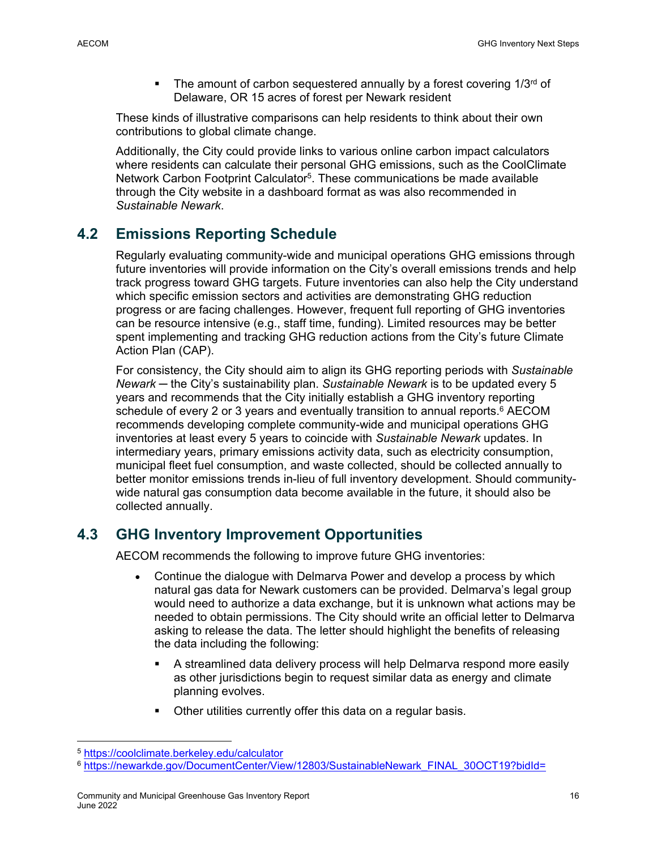$\blacksquare$  The amount of carbon sequestered annually by a forest covering 1/3<sup>rd</sup> of Delaware, OR 15 acres of forest per Newark resident

These kinds of illustrative comparisons can help residents to think about their own contributions to global climate change.

Additionally, the City could provide links to various online carbon impact calculators where residents can calculate their personal GHG emissions, such as the CoolClimate Network Carbon Footprint Calculator5. These communications be made available through the City website in a dashboard format as was also recommended in *Sustainable Newark*.

## **4.2 Emissions Reporting Schedule**

Regularly evaluating community-wide and municipal operations GHG emissions through future inventories will provide information on the City's overall emissions trends and help track progress toward GHG targets. Future inventories can also help the City understand which specific emission sectors and activities are demonstrating GHG reduction progress or are facing challenges. However, frequent full reporting of GHG inventories can be resource intensive (e.g., staff time, funding). Limited resources may be better spent implementing and tracking GHG reduction actions from the City's future Climate Action Plan (CAP).

For consistency, the City should aim to align its GHG reporting periods with *Sustainable Newark* ─ the City's sustainability plan. *Sustainable Newark* is to be updated every 5 years and recommends that the City initially establish a GHG inventory reporting schedule of every 2 or 3 years and eventually transition to annual reports.<sup>6</sup> AECOM recommends developing complete community-wide and municipal operations GHG inventories at least every 5 years to coincide with *Sustainable Newark* updates. In intermediary years, primary emissions activity data, such as electricity consumption, municipal fleet fuel consumption, and waste collected, should be collected annually to better monitor emissions trends in-lieu of full inventory development. Should communitywide natural gas consumption data become available in the future, it should also be collected annually.

## **4.3 GHG Inventory Improvement Opportunities**

AECOM recommends the following to improve future GHG inventories:

- Continue the dialogue with Delmarva Power and develop a process by which natural gas data for Newark customers can be provided. Delmarva's legal group would need to authorize a data exchange, but it is unknown what actions may be needed to obtain permissions. The City should write an official letter to Delmarva asking to release the data. The letter should highlight the benefits of releasing the data including the following:
	- A streamlined data delivery process will help Delmarva respond more easily as other jurisdictions begin to request similar data as energy and climate planning evolves.
	- Other utilities currently offer this data on a regular basis.

<sup>5</sup> https://coolclimate.berkeley.edu/calculator

<sup>6</sup> https://newarkde.gov/DocumentCenter/View/12803/SustainableNewark\_FINAL\_30OCT19?bidId=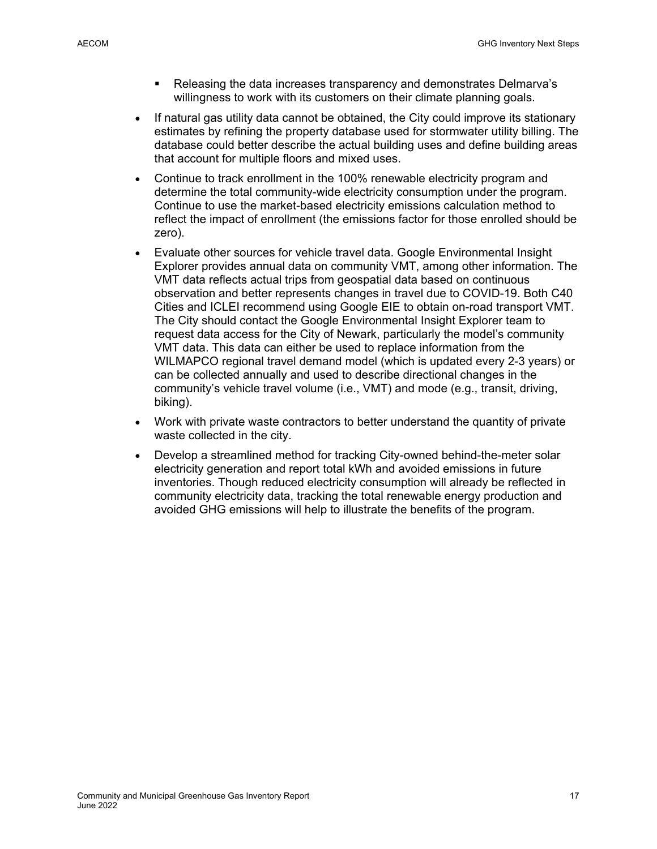- Releasing the data increases transparency and demonstrates Delmarva's willingness to work with its customers on their climate planning goals.
- If natural gas utility data cannot be obtained, the City could improve its stationary estimates by refining the property database used for stormwater utility billing. The database could better describe the actual building uses and define building areas that account for multiple floors and mixed uses.
- Continue to track enrollment in the 100% renewable electricity program and determine the total community-wide electricity consumption under the program. Continue to use the market-based electricity emissions calculation method to reflect the impact of enrollment (the emissions factor for those enrolled should be zero).
- Evaluate other sources for vehicle travel data. Google Environmental Insight Explorer provides annual data on community VMT, among other information. The VMT data reflects actual trips from geospatial data based on continuous observation and better represents changes in travel due to COVID-19. Both C40 Cities and ICLEI recommend using Google EIE to obtain on-road transport VMT. The City should contact the Google Environmental Insight Explorer team to request data access for the City of Newark, particularly the model's community VMT data. This data can either be used to replace information from the WILMAPCO regional travel demand model (which is updated every 2-3 years) or can be collected annually and used to describe directional changes in the community's vehicle travel volume (i.e., VMT) and mode (e.g., transit, driving, biking).
- Work with private waste contractors to better understand the quantity of private waste collected in the city.
- Develop a streamlined method for tracking City-owned behind-the-meter solar electricity generation and report total kWh and avoided emissions in future inventories. Though reduced electricity consumption will already be reflected in community electricity data, tracking the total renewable energy production and avoided GHG emissions will help to illustrate the benefits of the program.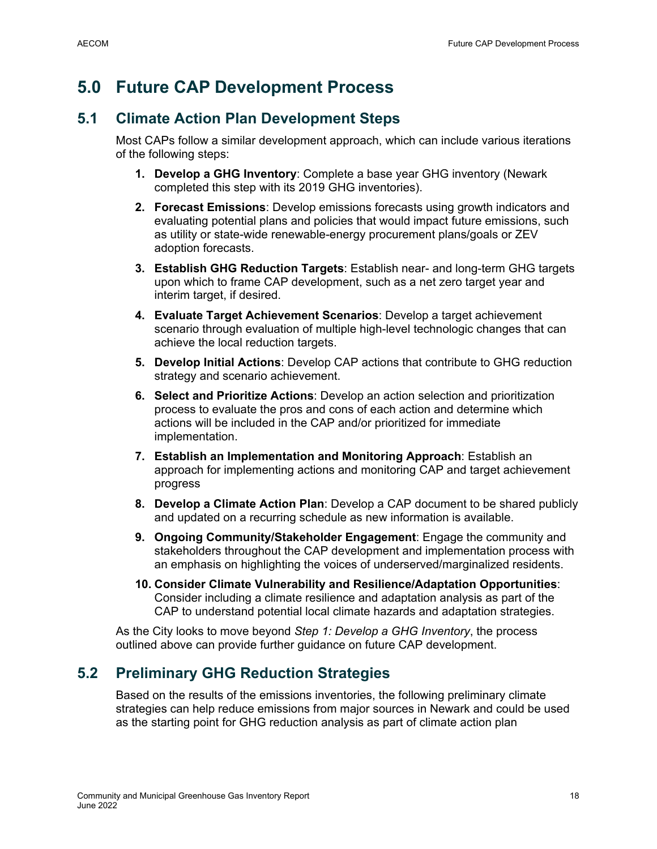## **5.0 Future CAP Development Process**

### **5.1 Climate Action Plan Development Steps**

Most CAPs follow a similar development approach, which can include various iterations of the following steps:

- **1. Develop a GHG Inventory**: Complete a base year GHG inventory (Newark completed this step with its 2019 GHG inventories).
- **2. Forecast Emissions**: Develop emissions forecasts using growth indicators and evaluating potential plans and policies that would impact future emissions, such as utility or state-wide renewable-energy procurement plans/goals or ZEV adoption forecasts.
- **3. Establish GHG Reduction Targets**: Establish near- and long-term GHG targets upon which to frame CAP development, such as a net zero target year and interim target, if desired.
- **4. Evaluate Target Achievement Scenarios**: Develop a target achievement scenario through evaluation of multiple high-level technologic changes that can achieve the local reduction targets.
- **5. Develop Initial Actions**: Develop CAP actions that contribute to GHG reduction strategy and scenario achievement.
- **6. Select and Prioritize Actions**: Develop an action selection and prioritization process to evaluate the pros and cons of each action and determine which actions will be included in the CAP and/or prioritized for immediate implementation.
- **7. Establish an Implementation and Monitoring Approach**: Establish an approach for implementing actions and monitoring CAP and target achievement progress
- **8. Develop a Climate Action Plan**: Develop a CAP document to be shared publicly and updated on a recurring schedule as new information is available.
- **9. Ongoing Community/Stakeholder Engagement**: Engage the community and stakeholders throughout the CAP development and implementation process with an emphasis on highlighting the voices of underserved/marginalized residents.
- **10. Consider Climate Vulnerability and Resilience/Adaptation Opportunities**: Consider including a climate resilience and adaptation analysis as part of the CAP to understand potential local climate hazards and adaptation strategies.

As the City looks to move beyond *Step 1: Develop a GHG Inventory*, the process outlined above can provide further guidance on future CAP development.

## **5.2 Preliminary GHG Reduction Strategies**

Based on the results of the emissions inventories, the following preliminary climate strategies can help reduce emissions from major sources in Newark and could be used as the starting point for GHG reduction analysis as part of climate action plan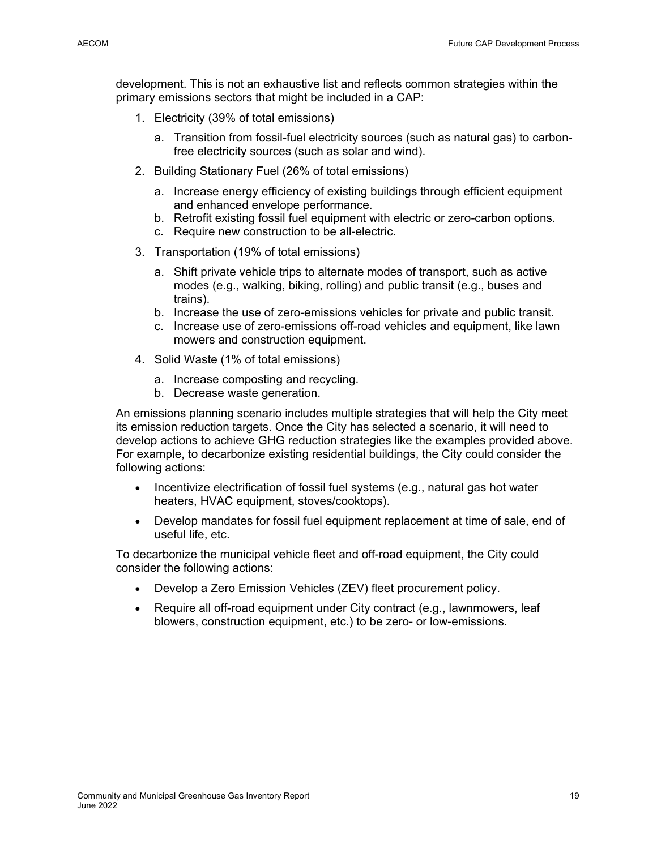development. This is not an exhaustive list and reflects common strategies within the primary emissions sectors that might be included in a CAP:

- 1. Electricity (39% of total emissions)
	- a. Transition from fossil-fuel electricity sources (such as natural gas) to carbonfree electricity sources (such as solar and wind).
- 2. Building Stationary Fuel (26% of total emissions)
	- a. Increase energy efficiency of existing buildings through efficient equipment and enhanced envelope performance.
	- b. Retrofit existing fossil fuel equipment with electric or zero-carbon options.
	- c. Require new construction to be all-electric.
- 3. Transportation (19% of total emissions)
	- a. Shift private vehicle trips to alternate modes of transport, such as active modes (e.g., walking, biking, rolling) and public transit (e.g., buses and trains).
	- b. Increase the use of zero-emissions vehicles for private and public transit.
	- c. Increase use of zero-emissions off-road vehicles and equipment, like lawn mowers and construction equipment.
- 4. Solid Waste (1% of total emissions)
	- a. Increase composting and recycling.
	- b. Decrease waste generation.

An emissions planning scenario includes multiple strategies that will help the City meet its emission reduction targets. Once the City has selected a scenario, it will need to develop actions to achieve GHG reduction strategies like the examples provided above. For example, to decarbonize existing residential buildings, the City could consider the following actions:

- Incentivize electrification of fossil fuel systems (e.g., natural gas hot water heaters, HVAC equipment, stoves/cooktops).
- Develop mandates for fossil fuel equipment replacement at time of sale, end of useful life, etc.

To decarbonize the municipal vehicle fleet and off-road equipment, the City could consider the following actions:

- Develop a Zero Emission Vehicles (ZEV) fleet procurement policy.
- Require all off-road equipment under City contract (e.g., lawnmowers, leaf blowers, construction equipment, etc.) to be zero- or low-emissions.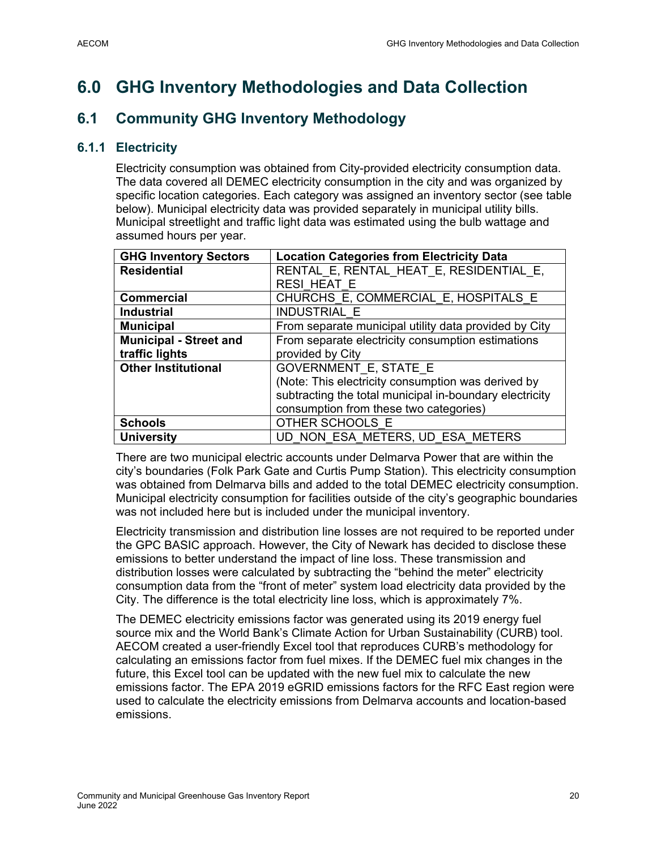## **6.0 GHG Inventory Methodologies and Data Collection**

## **6.1 Community GHG Inventory Methodology**

### **6.1.1 Electricity**

Electricity consumption was obtained from City-provided electricity consumption data. The data covered all DEMEC electricity consumption in the city and was organized by specific location categories. Each category was assigned an inventory sector (see table below). Municipal electricity data was provided separately in municipal utility bills. Municipal streetlight and traffic light data was estimated using the bulb wattage and assumed hours per year.

| <b>GHG Inventory Sectors</b>  | <b>Location Categories from Electricity Data</b>        |
|-------------------------------|---------------------------------------------------------|
| <b>Residential</b>            | RENTAL E, RENTAL HEAT E, RESIDENTIAL E,                 |
|                               | <b>RESI HEAT E</b>                                      |
| <b>Commercial</b>             | CHURCHS E, COMMERCIAL E, HOSPITALS E                    |
| <b>Industrial</b>             | <b>INDUSTRIAL E</b>                                     |
| <b>Municipal</b>              | From separate municipal utility data provided by City   |
| <b>Municipal - Street and</b> | From separate electricity consumption estimations       |
| traffic lights                | provided by City                                        |
| <b>Other Institutional</b>    | <b>GOVERNMENT E, STATE E</b>                            |
|                               | (Note: This electricity consumption was derived by      |
|                               | subtracting the total municipal in-boundary electricity |
|                               | consumption from these two categories)                  |
| <b>Schools</b>                | OTHER SCHOOLS E                                         |
| <b>University</b>             | UD NON ESA METERS, UD ESA METERS                        |

There are two municipal electric accounts under Delmarva Power that are within the city's boundaries (Folk Park Gate and Curtis Pump Station). This electricity consumption was obtained from Delmarva bills and added to the total DEMEC electricity consumption. Municipal electricity consumption for facilities outside of the city's geographic boundaries was not included here but is included under the municipal inventory.

Electricity transmission and distribution line losses are not required to be reported under the GPC BASIC approach. However, the City of Newark has decided to disclose these emissions to better understand the impact of line loss. These transmission and distribution losses were calculated by subtracting the "behind the meter" electricity consumption data from the "front of meter" system load electricity data provided by the City. The difference is the total electricity line loss, which is approximately 7%.

The DEMEC electricity emissions factor was generated using its 2019 energy fuel source mix and the World Bank's Climate Action for Urban Sustainability (CURB) tool. AECOM created a user-friendly Excel tool that reproduces CURB's methodology for calculating an emissions factor from fuel mixes. If the DEMEC fuel mix changes in the future, this Excel tool can be updated with the new fuel mix to calculate the new emissions factor. The EPA 2019 eGRID emissions factors for the RFC East region were used to calculate the electricity emissions from Delmarva accounts and location-based emissions.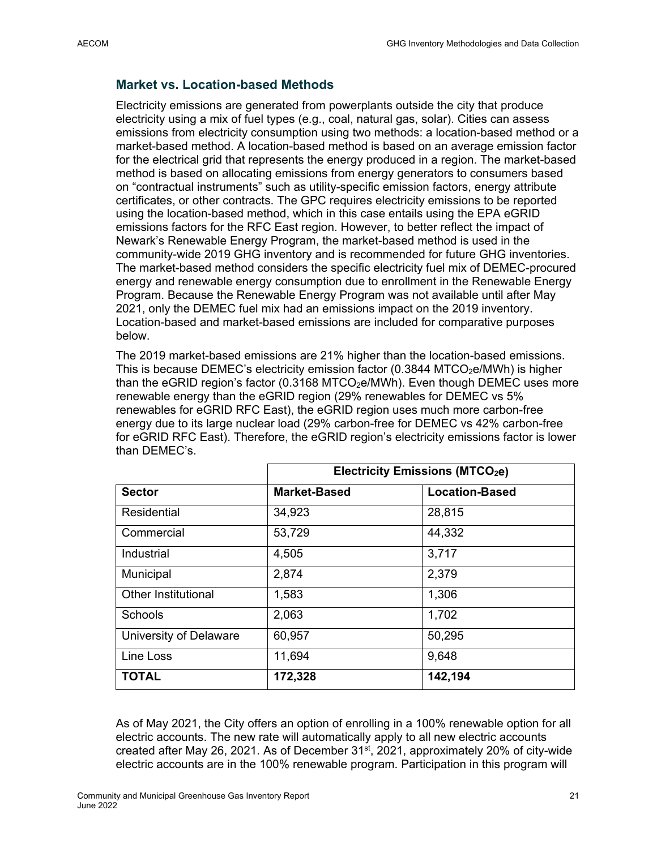### **Market vs. Location-based Methods**

Electricity emissions are generated from powerplants outside the city that produce electricity using a mix of fuel types (e.g., coal, natural gas, solar). Cities can assess emissions from electricity consumption using two methods: a location-based method or a market-based method. A location-based method is based on an average emission factor for the electrical grid that represents the energy produced in a region. The market-based method is based on allocating emissions from energy generators to consumers based on "contractual instruments" such as utility-specific emission factors, energy attribute certificates, or other contracts. The GPC requires electricity emissions to be reported using the location-based method, which in this case entails using the EPA eGRID emissions factors for the RFC East region. However, to better reflect the impact of Newark's Renewable Energy Program, the market-based method is used in the community-wide 2019 GHG inventory and is recommended for future GHG inventories. The market-based method considers the specific electricity fuel mix of DEMEC-procured energy and renewable energy consumption due to enrollment in the Renewable Energy Program. Because the Renewable Energy Program was not available until after May 2021, only the DEMEC fuel mix had an emissions impact on the 2019 inventory. Location-based and market-based emissions are included for comparative purposes below.

The 2019 market-based emissions are 21% higher than the location-based emissions. This is because DEMEC's electricity emission factor  $(0.3844$  MTCO<sub>2</sub>e/MWh) is higher than the eGRID region's factor (0.3168 MTCO<sub>2</sub>e/MWh). Even though DEMEC uses more renewable energy than the eGRID region (29% renewables for DEMEC vs 5% renewables for eGRID RFC East), the eGRID region uses much more carbon-free energy due to its large nuclear load (29% carbon-free for DEMEC vs 42% carbon-free for eGRID RFC East). Therefore, the eGRID region's electricity emissions factor is lower than DEMEC's.

|                            | <b>Electricity Emissions (MTCO2e)</b> |                       |  |
|----------------------------|---------------------------------------|-----------------------|--|
| <b>Sector</b>              | <b>Market-Based</b>                   | <b>Location-Based</b> |  |
| Residential                | 34,923                                | 28,815                |  |
| Commercial                 | 53,729                                | 44,332                |  |
| Industrial                 | 4,505                                 | 3,717                 |  |
| Municipal                  | 2,874                                 | 2,379                 |  |
| <b>Other Institutional</b> | 1,583                                 | 1,306                 |  |
| Schools                    | 2,063                                 | 1,702                 |  |
| University of Delaware     | 60,957                                | 50,295                |  |
| Line Loss                  | 11,694                                | 9,648                 |  |
| <b>TOTAL</b>               | 172,328                               | 142,194               |  |

As of May 2021, the City offers an option of enrolling in a 100% renewable option for all electric accounts. The new rate will automatically apply to all new electric accounts created after May 26, 2021. As of December  $31<sup>st</sup>$ , 2021, approximately 20% of city-wide electric accounts are in the 100% renewable program. Participation in this program will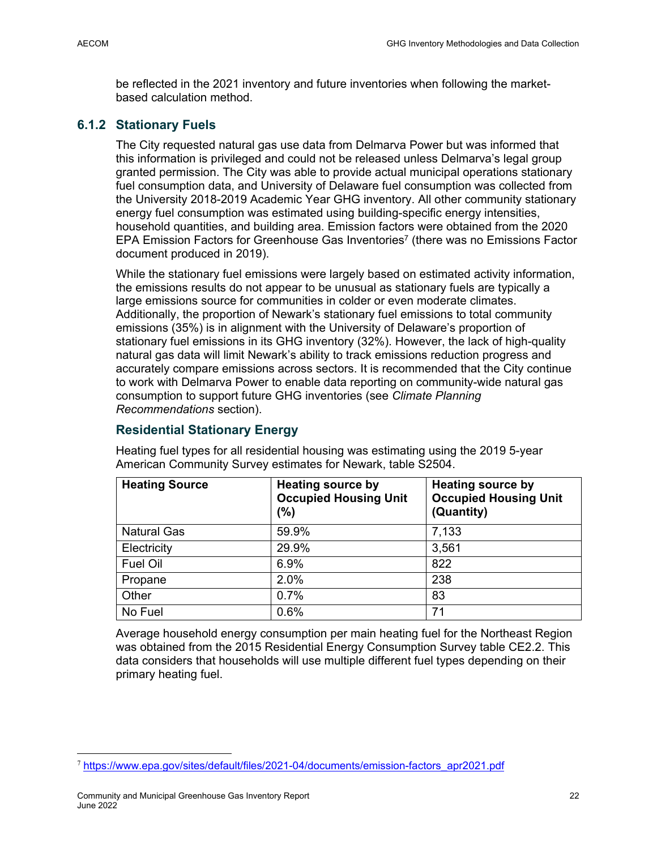be reflected in the 2021 inventory and future inventories when following the marketbased calculation method.

### **6.1.2 Stationary Fuels**

The City requested natural gas use data from Delmarva Power but was informed that this information is privileged and could not be released unless Delmarva's legal group granted permission. The City was able to provide actual municipal operations stationary fuel consumption data, and University of Delaware fuel consumption was collected from the University 2018-2019 Academic Year GHG inventory. All other community stationary energy fuel consumption was estimated using building-specific energy intensities, household quantities, and building area. Emission factors were obtained from the 2020 EPA Emission Factors for Greenhouse Gas Inventories<sup>7</sup> (there was no Emissions Factor document produced in 2019).

While the stationary fuel emissions were largely based on estimated activity information, the emissions results do not appear to be unusual as stationary fuels are typically a large emissions source for communities in colder or even moderate climates. Additionally, the proportion of Newark's stationary fuel emissions to total community emissions (35%) is in alignment with the University of Delaware's proportion of stationary fuel emissions in its GHG inventory (32%). However, the lack of high-quality natural gas data will limit Newark's ability to track emissions reduction progress and accurately compare emissions across sectors. It is recommended that the City continue to work with Delmarva Power to enable data reporting on community-wide natural gas consumption to support future GHG inventories (see *Climate Planning Recommendations* section).

### **Residential Stationary Energy**

| <b>Heating Source</b> | <b>Heating source by</b><br><b>Occupied Housing Unit</b><br>(%) | <b>Heating source by</b><br><b>Occupied Housing Unit</b><br>(Quantity) |
|-----------------------|-----------------------------------------------------------------|------------------------------------------------------------------------|
| <b>Natural Gas</b>    | 59.9%                                                           | 7,133                                                                  |
| Electricity           | 29.9%                                                           | 3,561                                                                  |
| Fuel Oil              | 6.9%                                                            | 822                                                                    |
| Propane               | 2.0%                                                            | 238                                                                    |
| Other                 | 0.7%                                                            | 83                                                                     |
| No Fuel               | 0.6%                                                            | 71                                                                     |

Heating fuel types for all residential housing was estimating using the 2019 5-year American Community Survey estimates for Newark, table S2504.

Average household energy consumption per main heating fuel for the Northeast Region was obtained from the 2015 Residential Energy Consumption Survey table CE2.2. This data considers that households will use multiple different fuel types depending on their primary heating fuel.

<sup>7</sup> https://www.epa.gov/sites/default/files/2021-04/documents/emission-factors\_apr2021.pdf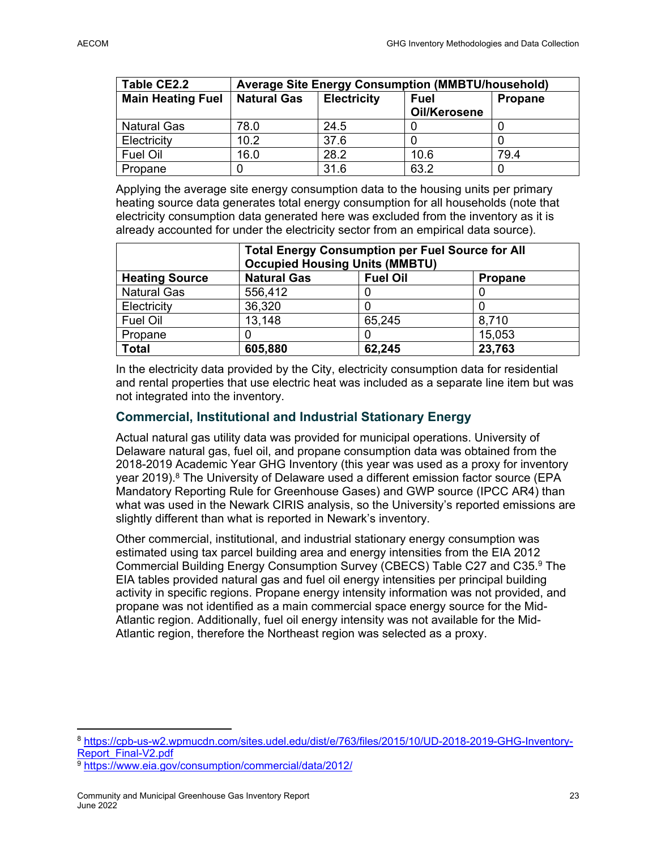| Table CE2.2              | <b>Average Site Energy Consumption (MMBTU/household)</b> |                    |                             |                |
|--------------------------|----------------------------------------------------------|--------------------|-----------------------------|----------------|
| <b>Main Heating Fuel</b> | <b>Natural Gas</b>                                       | <b>Electricity</b> | <b>Fuel</b><br>Oil/Kerosene | <b>Propane</b> |
| <b>Natural Gas</b>       | 78.0                                                     | 24.5               |                             |                |
| Electricity              | 10.2                                                     | 37.6               |                             |                |
| <b>Fuel Oil</b>          | 16.0                                                     | 28.2               | 10.6                        | 79.4           |
| Propane                  |                                                          | 31.6               | 63.2                        |                |

Applying the average site energy consumption data to the housing units per primary heating source data generates total energy consumption for all households (note that electricity consumption data generated here was excluded from the inventory as it is already accounted for under the electricity sector from an empirical data source).

|                       | <b>Total Energy Consumption per Fuel Source for All</b><br><b>Occupied Housing Units (MMBTU)</b> |        |        |
|-----------------------|--------------------------------------------------------------------------------------------------|--------|--------|
| <b>Heating Source</b> | <b>Natural Gas</b><br><b>Fuel Oil</b><br>Propane                                                 |        |        |
| <b>Natural Gas</b>    | 556,412                                                                                          |        |        |
| Electricity           | 36,320                                                                                           |        |        |
| Fuel Oil              | 13,148                                                                                           | 65,245 | 8,710  |
| Propane               |                                                                                                  |        | 15,053 |
| <b>Total</b>          | 23,763<br>62,245<br>605,880                                                                      |        |        |

In the electricity data provided by the City, electricity consumption data for residential and rental properties that use electric heat was included as a separate line item but was not integrated into the inventory.

### **Commercial, Institutional and Industrial Stationary Energy**

Actual natural gas utility data was provided for municipal operations. University of Delaware natural gas, fuel oil, and propane consumption data was obtained from the 2018-2019 Academic Year GHG Inventory (this year was used as a proxy for inventory year  $2019$ ).<sup>8</sup> The University of Delaware used a different emission factor source (EPA Mandatory Reporting Rule for Greenhouse Gases) and GWP source (IPCC AR4) than what was used in the Newark CIRIS analysis, so the University's reported emissions are slightly different than what is reported in Newark's inventory.

Other commercial, institutional, and industrial stationary energy consumption was estimated using tax parcel building area and energy intensities from the EIA 2012 Commercial Building Energy Consumption Survey (CBECS) Table C27 and C35.9 The EIA tables provided natural gas and fuel oil energy intensities per principal building activity in specific regions. Propane energy intensity information was not provided, and propane was not identified as a main commercial space energy source for the Mid-Atlantic region. Additionally, fuel oil energy intensity was not available for the Mid-Atlantic region, therefore the Northeast region was selected as a proxy.

<sup>&</sup>lt;sup>8</sup> https://cpb-us-w2.wpmucdn.com/sites.udel.edu/dist/e/763/files/2015/10/UD-2018-2019-GHG-Inventory-<br>Report Final-V2.pdf

<sup>&</sup>lt;sup>9</sup> https://www.eia.gov/consumption/commercial/data/2012/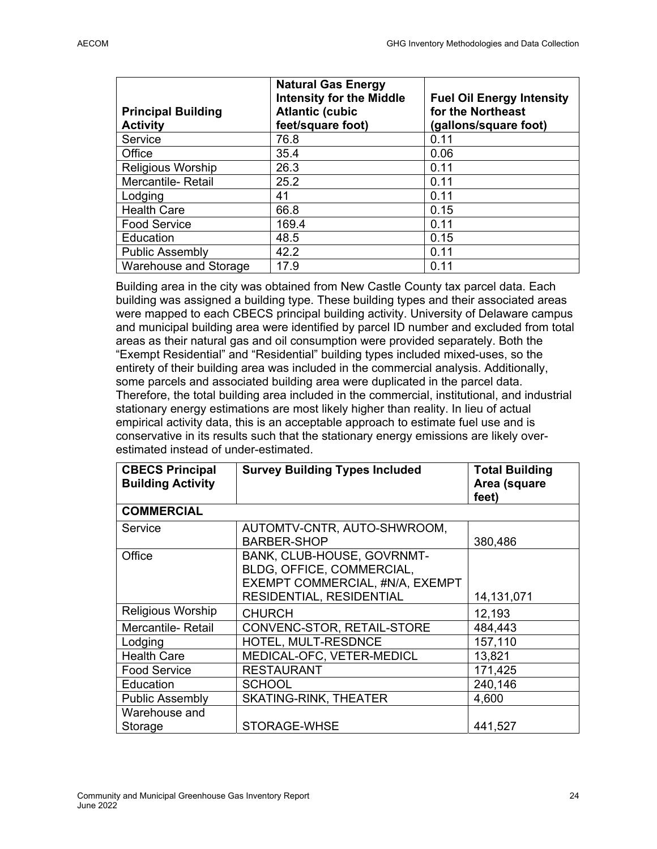| <b>Principal Building</b><br><b>Activity</b> | <b>Natural Gas Energy</b><br><b>Intensity for the Middle</b><br><b>Atlantic (cubic</b><br>feet/square foot) | <b>Fuel Oil Energy Intensity</b><br>for the Northeast<br>(gallons/square foot) |
|----------------------------------------------|-------------------------------------------------------------------------------------------------------------|--------------------------------------------------------------------------------|
| Service                                      | 76.8                                                                                                        | 0.11                                                                           |
| Office                                       | 35.4                                                                                                        | 0.06                                                                           |
| Religious Worship                            | 26.3                                                                                                        | 0.11                                                                           |
| <b>Mercantile-Retail</b>                     | 25.2                                                                                                        | 0.11                                                                           |
| Lodging                                      | 41                                                                                                          | 0.11                                                                           |
| <b>Health Care</b>                           | 66.8                                                                                                        | 0.15                                                                           |
| <b>Food Service</b>                          | 169.4                                                                                                       | 0.11                                                                           |
| Education                                    | 48.5                                                                                                        | 0.15                                                                           |
| <b>Public Assembly</b>                       | 42.2                                                                                                        | 0.11                                                                           |
| Warehouse and Storage                        | 17.9                                                                                                        | 0.11                                                                           |

Building area in the city was obtained from New Castle County tax parcel data. Each building was assigned a building type. These building types and their associated areas were mapped to each CBECS principal building activity. University of Delaware campus and municipal building area were identified by parcel ID number and excluded from total areas as their natural gas and oil consumption were provided separately. Both the "Exempt Residential" and "Residential" building types included mixed-uses, so the entirety of their building area was included in the commercial analysis. Additionally, some parcels and associated building area were duplicated in the parcel data. Therefore, the total building area included in the commercial, institutional, and industrial stationary energy estimations are most likely higher than reality. In lieu of actual empirical activity data, this is an acceptable approach to estimate fuel use and is conservative in its results such that the stationary energy emissions are likely overestimated instead of under-estimated.

| <b>CBECS Principal</b><br><b>Building Activity</b> | <b>Survey Building Types Included</b>                                                                                  | <b>Total Building</b><br>Area (square<br>feet) |
|----------------------------------------------------|------------------------------------------------------------------------------------------------------------------------|------------------------------------------------|
| <b>COMMERCIAL</b>                                  |                                                                                                                        |                                                |
| Service                                            | AUTOMTV-CNTR, AUTO-SHWROOM,<br><b>BARBER-SHOP</b>                                                                      | 380,486                                        |
| Office                                             | BANK, CLUB-HOUSE, GOVRNMT-<br>BLDG, OFFICE, COMMERCIAL,<br>EXEMPT COMMERCIAL, #N/A, EXEMPT<br>RESIDENTIAL, RESIDENTIAL | 14,131,071                                     |
| <b>Religious Worship</b>                           | <b>CHURCH</b>                                                                                                          | 12,193                                         |
| Mercantile-Retail                                  | CONVENC-STOR, RETAIL-STORE                                                                                             | 484,443                                        |
| Lodging                                            | HOTEL, MULT-RESDNCE                                                                                                    | 157,110                                        |
| <b>Health Care</b>                                 | MEDICAL-OFC, VETER-MEDICL                                                                                              | 13,821                                         |
| <b>Food Service</b>                                | <b>RESTAURANT</b>                                                                                                      | 171,425                                        |
| Education                                          | <b>SCHOOL</b>                                                                                                          | 240,146                                        |
| <b>Public Assembly</b>                             | <b>SKATING-RINK, THEATER</b>                                                                                           | 4,600                                          |
| Warehouse and<br>Storage                           | STORAGE-WHSE                                                                                                           | 441,527                                        |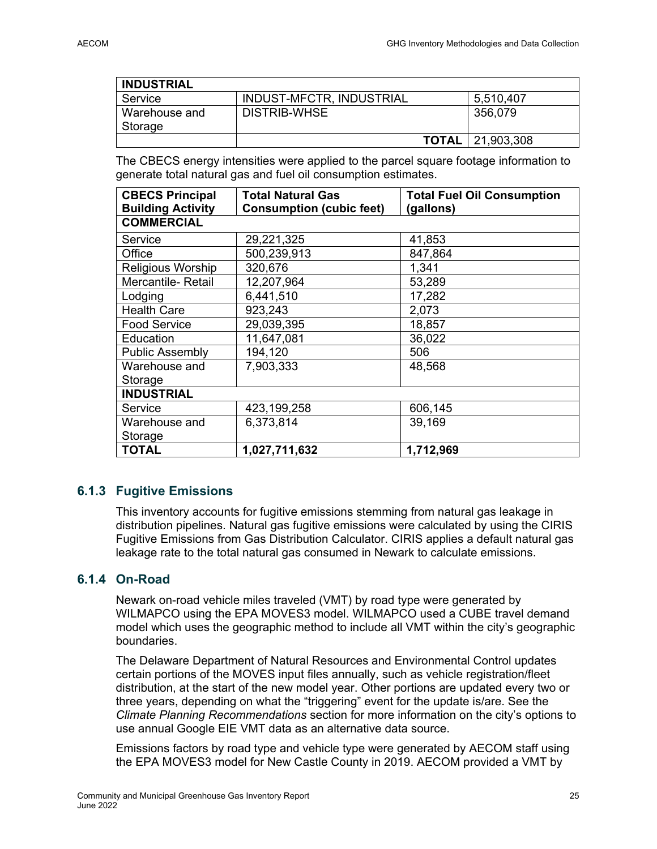| <b>INDUSTRIAL</b>        |                          |                           |
|--------------------------|--------------------------|---------------------------|
| Service                  | INDUST-MFCTR, INDUSTRIAL | 5,510,407                 |
| Warehouse and<br>Storage | DISTRIB-WHSE             | 356,079                   |
|                          |                          | <b>TOTAL</b>   21,903,308 |

The CBECS energy intensities were applied to the parcel square footage information to generate total natural gas and fuel oil consumption estimates.

| <b>CBECS Principal</b><br><b>Building Activity</b> | <b>Total Natural Gas</b><br><b>Consumption (cubic feet)</b> | <b>Total Fuel Oil Consumption</b><br>(gallons) |  |  |
|----------------------------------------------------|-------------------------------------------------------------|------------------------------------------------|--|--|
| <b>COMMERCIAL</b>                                  |                                                             |                                                |  |  |
| Service                                            | 29,221,325                                                  | 41,853                                         |  |  |
| Office                                             | 500,239,913                                                 | 847,864                                        |  |  |
| Religious Worship                                  | 320,676                                                     | 1,341                                          |  |  |
| Mercantile-Retail                                  | 12,207,964                                                  | 53,289                                         |  |  |
| Lodging                                            | 6,441,510                                                   | 17,282                                         |  |  |
| <b>Health Care</b>                                 | 923,243                                                     | 2,073                                          |  |  |
| <b>Food Service</b>                                | 29,039,395                                                  | 18,857                                         |  |  |
| Education                                          | 11,647,081                                                  | 36,022                                         |  |  |
| <b>Public Assembly</b>                             | 194,120                                                     | 506                                            |  |  |
| Warehouse and                                      | 7,903,333                                                   | 48,568                                         |  |  |
| Storage                                            |                                                             |                                                |  |  |
| <b>INDUSTRIAL</b>                                  |                                                             |                                                |  |  |
| Service                                            | 423,199,258                                                 | 606,145                                        |  |  |
| Warehouse and                                      | 6,373,814                                                   | 39,169                                         |  |  |
| Storage                                            |                                                             |                                                |  |  |
| <b>TOTAL</b>                                       | 1,027,711,632                                               | 1,712,969                                      |  |  |

### **6.1.3 Fugitive Emissions**

This inventory accounts for fugitive emissions stemming from natural gas leakage in distribution pipelines. Natural gas fugitive emissions were calculated by using the CIRIS Fugitive Emissions from Gas Distribution Calculator. CIRIS applies a default natural gas leakage rate to the total natural gas consumed in Newark to calculate emissions.

### **6.1.4 On-Road**

Newark on-road vehicle miles traveled (VMT) by road type were generated by WILMAPCO using the EPA MOVES3 model. WILMAPCO used a CUBE travel demand model which uses the geographic method to include all VMT within the city's geographic boundaries.

The Delaware Department of Natural Resources and Environmental Control updates certain portions of the MOVES input files annually, such as vehicle registration/fleet distribution, at the start of the new model year. Other portions are updated every two or three years, depending on what the "triggering" event for the update is/are. See the *Climate Planning Recommendations* section for more information on the city's options to use annual Google EIE VMT data as an alternative data source.

Emissions factors by road type and vehicle type were generated by AECOM staff using the EPA MOVES3 model for New Castle County in 2019. AECOM provided a VMT by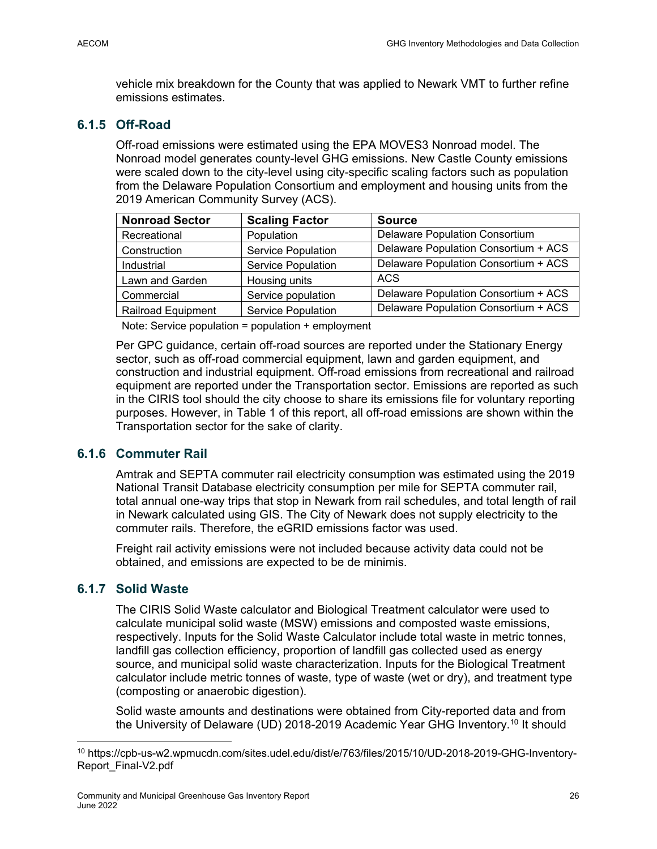vehicle mix breakdown for the County that was applied to Newark VMT to further refine emissions estimates.

### **6.1.5 Off-Road**

Off-road emissions were estimated using the EPA MOVES3 Nonroad model. The Nonroad model generates county-level GHG emissions. New Castle County emissions were scaled down to the city-level using city-specific scaling factors such as population from the Delaware Population Consortium and employment and housing units from the 2019 American Community Survey (ACS).

| <b>Nonroad Sector</b>     | <b>Scaling Factor</b>     | <b>Source</b>                         |
|---------------------------|---------------------------|---------------------------------------|
| Recreational              | Population                | <b>Delaware Population Consortium</b> |
| Construction              | Service Population        | Delaware Population Consortium + ACS  |
| Industrial                | <b>Service Population</b> | Delaware Population Consortium + ACS  |
| Lawn and Garden           | Housing units             | <b>ACS</b>                            |
| Commercial                | Service population        | Delaware Population Consortium + ACS  |
| <b>Railroad Equipment</b> | <b>Service Population</b> | Delaware Population Consortium + ACS  |

Note: Service population = population + employment

Per GPC guidance, certain off-road sources are reported under the Stationary Energy sector, such as off-road commercial equipment, lawn and garden equipment, and construction and industrial equipment. Off-road emissions from recreational and railroad equipment are reported under the Transportation sector. Emissions are reported as such in the CIRIS tool should the city choose to share its emissions file for voluntary reporting purposes. However, in Table 1 of this report, all off-road emissions are shown within the Transportation sector for the sake of clarity.

### **6.1.6 Commuter Rail**

Amtrak and SEPTA commuter rail electricity consumption was estimated using the 2019 National Transit Database electricity consumption per mile for SEPTA commuter rail, total annual one-way trips that stop in Newark from rail schedules, and total length of rail in Newark calculated using GIS. The City of Newark does not supply electricity to the commuter rails. Therefore, the eGRID emissions factor was used.

Freight rail activity emissions were not included because activity data could not be obtained, and emissions are expected to be de minimis.

### **6.1.7 Solid Waste**

The CIRIS Solid Waste calculator and Biological Treatment calculator were used to calculate municipal solid waste (MSW) emissions and composted waste emissions, respectively. Inputs for the Solid Waste Calculator include total waste in metric tonnes, landfill gas collection efficiency, proportion of landfill gas collected used as energy source, and municipal solid waste characterization. Inputs for the Biological Treatment calculator include metric tonnes of waste, type of waste (wet or dry), and treatment type (composting or anaerobic digestion).

Solid waste amounts and destinations were obtained from City-reported data and from the University of Delaware (UD) 2018-2019 Academic Year GHG Inventory.10 It should

<sup>10</sup> https://cpb-us-w2.wpmucdn.com/sites.udel.edu/dist/e/763/files/2015/10/UD-2018-2019-GHG-Inventory-Report\_Final-V2.pdf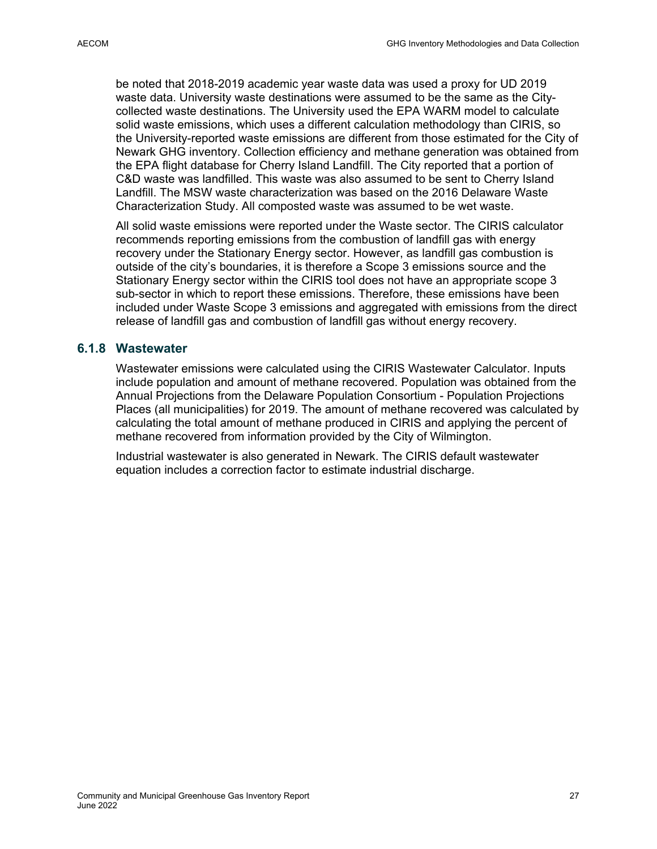be noted that 2018-2019 academic year waste data was used a proxy for UD 2019 waste data. University waste destinations were assumed to be the same as the Citycollected waste destinations. The University used the EPA WARM model to calculate solid waste emissions, which uses a different calculation methodology than CIRIS, so the University-reported waste emissions are different from those estimated for the City of Newark GHG inventory. Collection efficiency and methane generation was obtained from the EPA flight database for Cherry Island Landfill. The City reported that a portion of C&D waste was landfilled. This waste was also assumed to be sent to Cherry Island Landfill. The MSW waste characterization was based on the 2016 Delaware Waste Characterization Study. All composted waste was assumed to be wet waste.

All solid waste emissions were reported under the Waste sector. The CIRIS calculator recommends reporting emissions from the combustion of landfill gas with energy recovery under the Stationary Energy sector. However, as landfill gas combustion is outside of the city's boundaries, it is therefore a Scope 3 emissions source and the Stationary Energy sector within the CIRIS tool does not have an appropriate scope 3 sub-sector in which to report these emissions. Therefore, these emissions have been included under Waste Scope 3 emissions and aggregated with emissions from the direct release of landfill gas and combustion of landfill gas without energy recovery.

### **6.1.8 Wastewater**

Wastewater emissions were calculated using the CIRIS Wastewater Calculator. Inputs include population and amount of methane recovered. Population was obtained from the Annual Projections from the Delaware Population Consortium - Population Projections Places (all municipalities) for 2019. The amount of methane recovered was calculated by calculating the total amount of methane produced in CIRIS and applying the percent of methane recovered from information provided by the City of Wilmington.

Industrial wastewater is also generated in Newark. The CIRIS default wastewater equation includes a correction factor to estimate industrial discharge.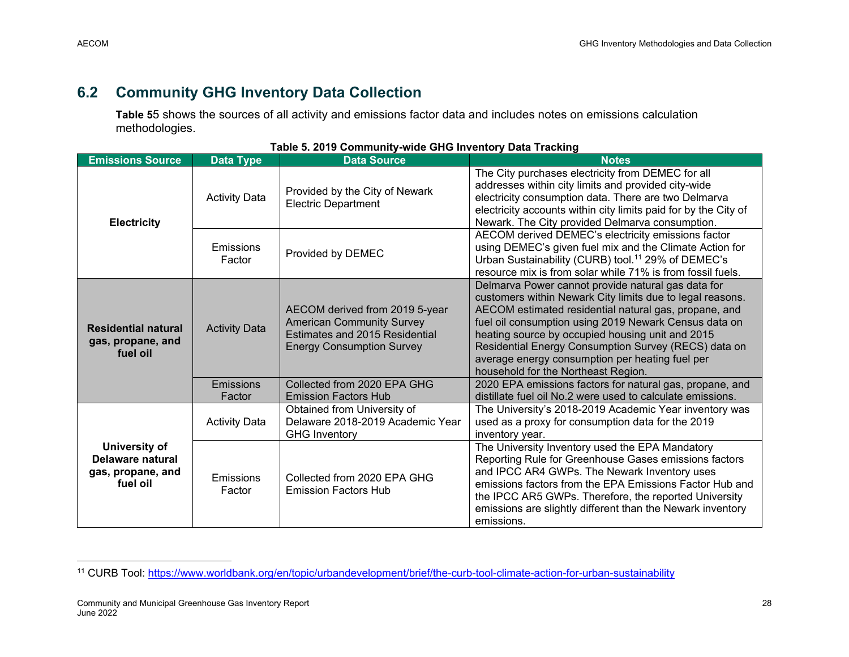## **6.2 Community GHG Inventory Data Collection**

**Table 5**5 shows the sources of all activity and emissions factor data and includes notes on emissions calculation methodologies.

| <b>Emissions Source</b>                                            | <b>Data Type</b>           | <b>Data Source</b>                                                                                                                       | <b>Notes</b>                                                                                                                                                                                                                                                                                                                                                                                                                            |
|--------------------------------------------------------------------|----------------------------|------------------------------------------------------------------------------------------------------------------------------------------|-----------------------------------------------------------------------------------------------------------------------------------------------------------------------------------------------------------------------------------------------------------------------------------------------------------------------------------------------------------------------------------------------------------------------------------------|
| <b>Electricity</b>                                                 | <b>Activity Data</b>       | Provided by the City of Newark<br><b>Electric Department</b>                                                                             | The City purchases electricity from DEMEC for all<br>addresses within city limits and provided city-wide<br>electricity consumption data. There are two Delmarva<br>electricity accounts within city limits paid for by the City of<br>Newark. The City provided Delmarva consumption.                                                                                                                                                  |
|                                                                    | Emissions<br>Factor        | Provided by DEMEC                                                                                                                        | AECOM derived DEMEC's electricity emissions factor<br>using DEMEC's given fuel mix and the Climate Action for<br>Urban Sustainability (CURB) tool. <sup>11</sup> 29% of DEMEC's<br>resource mix is from solar while 71% is from fossil fuels.                                                                                                                                                                                           |
| <b>Residential natural</b><br>gas, propane, and<br>fuel oil        | <b>Activity Data</b>       | AECOM derived from 2019 5-year<br><b>American Community Survey</b><br>Estimates and 2015 Residential<br><b>Energy Consumption Survey</b> | Delmarva Power cannot provide natural gas data for<br>customers within Newark City limits due to legal reasons.<br>AECOM estimated residential natural gas, propane, and<br>fuel oil consumption using 2019 Newark Census data on<br>heating source by occupied housing unit and 2015<br>Residential Energy Consumption Survey (RECS) data on<br>average energy consumption per heating fuel per<br>household for the Northeast Region. |
|                                                                    | <b>Emissions</b><br>Factor | Collected from 2020 EPA GHG<br><b>Emission Factors Hub</b>                                                                               | 2020 EPA emissions factors for natural gas, propane, and<br>distillate fuel oil No.2 were used to calculate emissions.                                                                                                                                                                                                                                                                                                                  |
|                                                                    | <b>Activity Data</b>       | Obtained from University of<br>Delaware 2018-2019 Academic Year<br><b>GHG Inventory</b>                                                  | The University's 2018-2019 Academic Year inventory was<br>used as a proxy for consumption data for the 2019<br>inventory year.                                                                                                                                                                                                                                                                                                          |
| University of<br>Delaware natural<br>gas, propane, and<br>fuel oil | Emissions<br>Factor        | Collected from 2020 EPA GHG<br><b>Emission Factors Hub</b>                                                                               | The University Inventory used the EPA Mandatory<br>Reporting Rule for Greenhouse Gases emissions factors<br>and IPCC AR4 GWPs. The Newark Inventory uses<br>emissions factors from the EPA Emissions Factor Hub and<br>the IPCC AR5 GWPs. Therefore, the reported University<br>emissions are slightly different than the Newark inventory<br>emissions.                                                                                |

<sup>11</sup> CURB Tool: https://www.worldbank.org/en/topic/urbandevelopment/brief/the-curb-tool-climate-action-for-urban-sustainability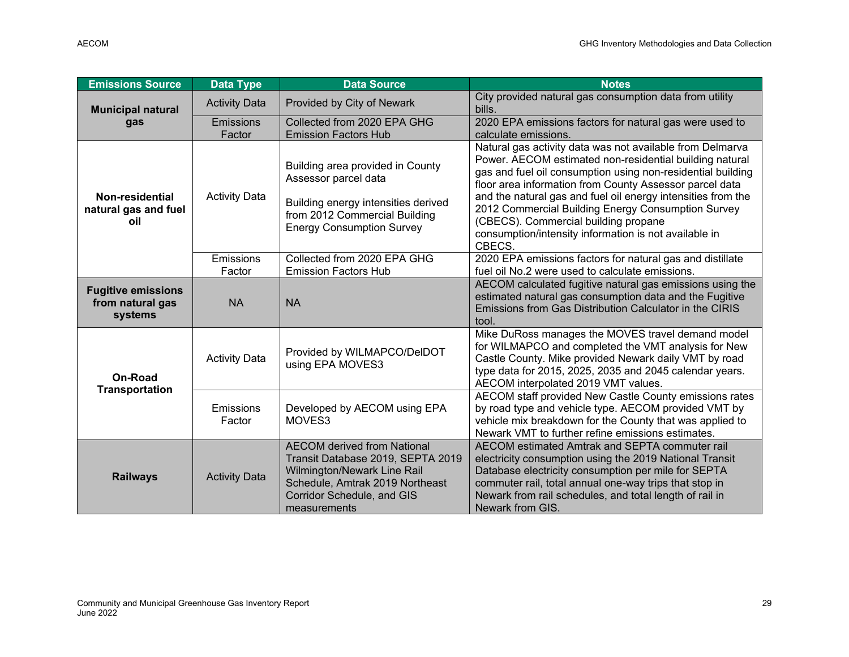| <b>Emissions Source</b>                                  | <b>Data Type</b>           | <b>Data Source</b>                                                                                                                                                                      | <b>Notes</b>                                                                                                                                                                                                                                                                                                                                                                                                                                                                    |
|----------------------------------------------------------|----------------------------|-----------------------------------------------------------------------------------------------------------------------------------------------------------------------------------------|---------------------------------------------------------------------------------------------------------------------------------------------------------------------------------------------------------------------------------------------------------------------------------------------------------------------------------------------------------------------------------------------------------------------------------------------------------------------------------|
| <b>Municipal natural</b>                                 | <b>Activity Data</b>       | Provided by City of Newark                                                                                                                                                              | City provided natural gas consumption data from utility<br>bills.                                                                                                                                                                                                                                                                                                                                                                                                               |
| gas                                                      | <b>Emissions</b><br>Factor | Collected from 2020 EPA GHG<br><b>Emission Factors Hub</b>                                                                                                                              | 2020 EPA emissions factors for natural gas were used to<br>calculate emissions.                                                                                                                                                                                                                                                                                                                                                                                                 |
| Non-residential<br>natural gas and fuel<br>oil           | <b>Activity Data</b>       | Building area provided in County<br>Assessor parcel data<br>Building energy intensities derived<br>from 2012 Commercial Building<br><b>Energy Consumption Survey</b>                    | Natural gas activity data was not available from Delmarva<br>Power. AECOM estimated non-residential building natural<br>gas and fuel oil consumption using non-residential building<br>floor area information from County Assessor parcel data<br>and the natural gas and fuel oil energy intensities from the<br>2012 Commercial Building Energy Consumption Survey<br>(CBECS). Commercial building propane<br>consumption/intensity information is not available in<br>CBECS. |
|                                                          | Emissions<br>Factor        | Collected from 2020 EPA GHG<br><b>Emission Factors Hub</b>                                                                                                                              | 2020 EPA emissions factors for natural gas and distillate<br>fuel oil No.2 were used to calculate emissions.                                                                                                                                                                                                                                                                                                                                                                    |
| <b>Fugitive emissions</b><br>from natural gas<br>systems | <b>NA</b>                  | <b>NA</b>                                                                                                                                                                               | AECOM calculated fugitive natural gas emissions using the<br>estimated natural gas consumption data and the Fugitive<br>Emissions from Gas Distribution Calculator in the CIRIS<br>tool.                                                                                                                                                                                                                                                                                        |
| <b>On-Road</b><br><b>Transportation</b>                  | <b>Activity Data</b>       | Provided by WILMAPCO/DeIDOT<br>using EPA MOVES3                                                                                                                                         | Mike DuRoss manages the MOVES travel demand model<br>for WILMAPCO and completed the VMT analysis for New<br>Castle County. Mike provided Newark daily VMT by road<br>type data for 2015, 2025, 2035 and 2045 calendar years.<br>AECOM interpolated 2019 VMT values.                                                                                                                                                                                                             |
|                                                          | Emissions<br>Factor        | Developed by AECOM using EPA<br>MOVES3                                                                                                                                                  | AECOM staff provided New Castle County emissions rates<br>by road type and vehicle type. AECOM provided VMT by<br>vehicle mix breakdown for the County that was applied to<br>Newark VMT to further refine emissions estimates.                                                                                                                                                                                                                                                 |
| <b>Railways</b>                                          | <b>Activity Data</b>       | <b>AECOM derived from National</b><br>Transit Database 2019, SEPTA 2019<br>Wilmington/Newark Line Rail<br>Schedule, Amtrak 2019 Northeast<br>Corridor Schedule, and GIS<br>measurements | AECOM estimated Amtrak and SEPTA commuter rail<br>electricity consumption using the 2019 National Transit<br>Database electricity consumption per mile for SEPTA<br>commuter rail, total annual one-way trips that stop in<br>Newark from rail schedules, and total length of rail in<br>Newark from GIS.                                                                                                                                                                       |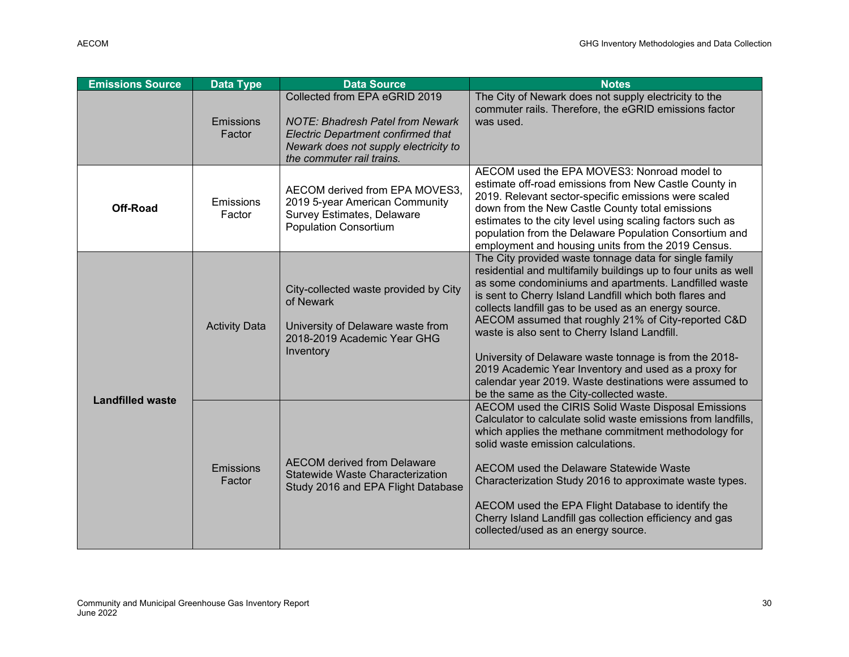| <b>Emissions Source</b> | <b>Data Type</b>     | <b>Data Source</b>                                                                                                                                                                          | <b>Notes</b>                                                                                                                                                                                                                                                                                                                                                                                                                                                                                                                                                                                                                          |
|-------------------------|----------------------|---------------------------------------------------------------------------------------------------------------------------------------------------------------------------------------------|---------------------------------------------------------------------------------------------------------------------------------------------------------------------------------------------------------------------------------------------------------------------------------------------------------------------------------------------------------------------------------------------------------------------------------------------------------------------------------------------------------------------------------------------------------------------------------------------------------------------------------------|
|                         | Emissions<br>Factor  | Collected from EPA eGRID 2019<br><b>NOTE: Bhadresh Patel from Newark</b><br><b>Electric Department confirmed that</b><br>Newark does not supply electricity to<br>the commuter rail trains. | The City of Newark does not supply electricity to the<br>commuter rails. Therefore, the eGRID emissions factor<br>was used.                                                                                                                                                                                                                                                                                                                                                                                                                                                                                                           |
| <b>Off-Road</b>         | Emissions<br>Factor  | AECOM derived from EPA MOVES3.<br>2019 5-year American Community<br><b>Survey Estimates, Delaware</b><br><b>Population Consortium</b>                                                       | AECOM used the EPA MOVES3: Nonroad model to<br>estimate off-road emissions from New Castle County in<br>2019. Relevant sector-specific emissions were scaled<br>down from the New Castle County total emissions<br>estimates to the city level using scaling factors such as<br>population from the Delaware Population Consortium and<br>employment and housing units from the 2019 Census.                                                                                                                                                                                                                                          |
|                         | <b>Activity Data</b> | City-collected waste provided by City<br>of Newark<br>University of Delaware waste from<br>2018-2019 Academic Year GHG<br>Inventory                                                         | The City provided waste tonnage data for single family<br>residential and multifamily buildings up to four units as well<br>as some condominiums and apartments. Landfilled waste<br>is sent to Cherry Island Landfill which both flares and<br>collects landfill gas to be used as an energy source.<br>AECOM assumed that roughly 21% of City-reported C&D<br>waste is also sent to Cherry Island Landfill.<br>University of Delaware waste tonnage is from the 2018-<br>2019 Academic Year Inventory and used as a proxy for<br>calendar year 2019. Waste destinations were assumed to<br>be the same as the City-collected waste. |
| <b>Landfilled waste</b> | Emissions<br>Factor  | <b>AECOM</b> derived from Delaware<br>Statewide Waste Characterization<br>Study 2016 and EPA Flight Database                                                                                | AECOM used the CIRIS Solid Waste Disposal Emissions<br>Calculator to calculate solid waste emissions from landfills,<br>which applies the methane commitment methodology for<br>solid waste emission calculations.<br>AECOM used the Delaware Statewide Waste<br>Characterization Study 2016 to approximate waste types.<br>AECOM used the EPA Flight Database to identify the<br>Cherry Island Landfill gas collection efficiency and gas<br>collected/used as an energy source.                                                                                                                                                     |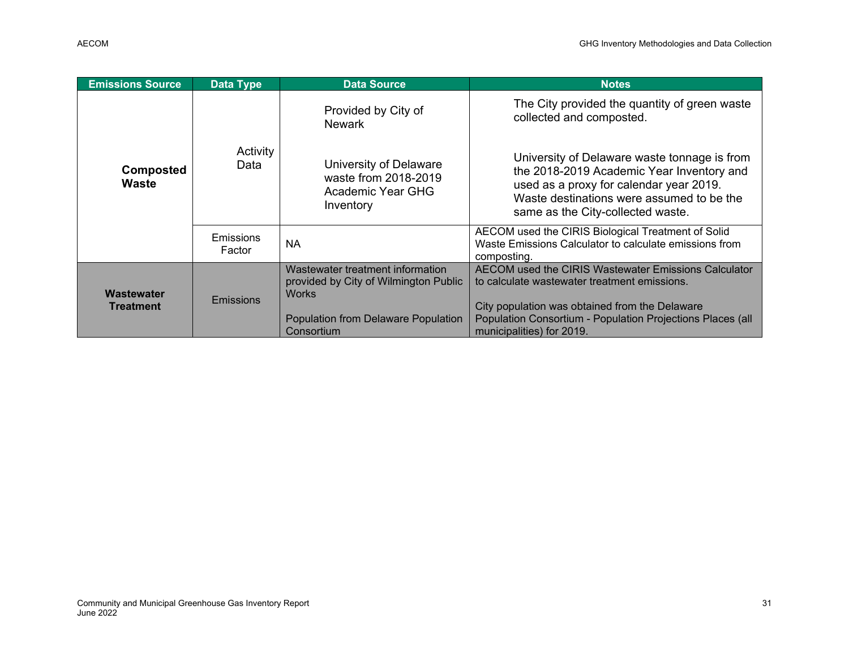| <b>Emissions Source</b>        | <b>Data Type</b>    | <b>Data Source</b>                                                                                                                             | <b>Notes</b>                                                                                                                                                                                                                                      |
|--------------------------------|---------------------|------------------------------------------------------------------------------------------------------------------------------------------------|---------------------------------------------------------------------------------------------------------------------------------------------------------------------------------------------------------------------------------------------------|
| <b>Composted</b><br>Waste      | Activity<br>Data    | Provided by City of<br><b>Newark</b>                                                                                                           | The City provided the quantity of green waste<br>collected and composted.                                                                                                                                                                         |
|                                |                     | University of Delaware<br>waste from 2018-2019<br>Academic Year GHG<br>Inventory                                                               | University of Delaware waste tonnage is from<br>the 2018-2019 Academic Year Inventory and<br>used as a proxy for calendar year 2019.<br>Waste destinations were assumed to be the<br>same as the City-collected waste.                            |
|                                | Emissions<br>Factor | <b>NA</b>                                                                                                                                      | AECOM used the CIRIS Biological Treatment of Solid<br>Waste Emissions Calculator to calculate emissions from<br>composting.                                                                                                                       |
| Wastewater<br><b>Treatment</b> | Emissions           | Wastewater treatment information<br>provided by City of Wilmington Public<br><b>Works</b><br>Population from Delaware Population<br>Consortium | AECOM used the CIRIS Wastewater Emissions Calculator<br>to calculate wastewater treatment emissions.<br>City population was obtained from the Delaware<br>Population Consortium - Population Projections Places (all<br>municipalities) for 2019. |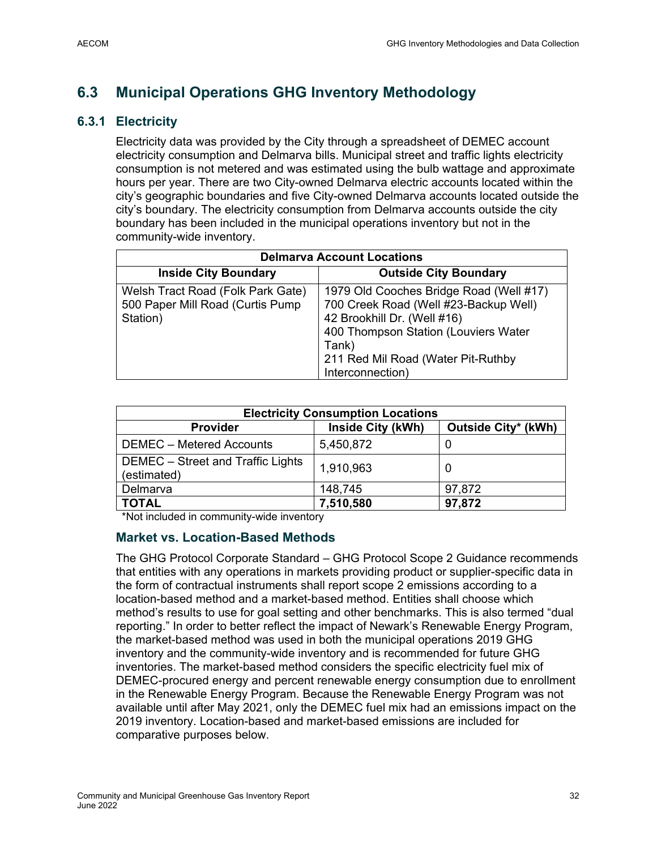## **6.3 Municipal Operations GHG Inventory Methodology**

### **6.3.1 Electricity**

Electricity data was provided by the City through a spreadsheet of DEMEC account electricity consumption and Delmarva bills. Municipal street and traffic lights electricity consumption is not metered and was estimated using the bulb wattage and approximate hours per year. There are two City-owned Delmarva electric accounts located within the city's geographic boundaries and five City-owned Delmarva accounts located outside the city's boundary. The electricity consumption from Delmarva accounts outside the city boundary has been included in the municipal operations inventory but not in the community-wide inventory.

| <b>Delmarva Account Locations</b>                                                 |                                                                                                                                                                  |  |  |
|-----------------------------------------------------------------------------------|------------------------------------------------------------------------------------------------------------------------------------------------------------------|--|--|
| <b>Inside City Boundary</b>                                                       | <b>Outside City Boundary</b>                                                                                                                                     |  |  |
| Welsh Tract Road (Folk Park Gate)<br>500 Paper Mill Road (Curtis Pump<br>Station) | 1979 Old Cooches Bridge Road (Well #17)<br>700 Creek Road (Well #23-Backup Well)<br>42 Brookhill Dr. (Well #16)<br>400 Thompson Station (Louviers Water<br>Tank) |  |  |
|                                                                                   | 211 Red Mil Road (Water Pit-Ruthby<br>Interconnection)                                                                                                           |  |  |

| <b>Electricity Consumption Locations</b>         |                   |                     |  |
|--------------------------------------------------|-------------------|---------------------|--|
| <b>Provider</b>                                  | Inside City (kWh) | Outside City* (kWh) |  |
| DEMEC - Metered Accounts                         | 5,450,872         |                     |  |
| DEMEC - Street and Traffic Lights<br>(estimated) | 1,910,963         |                     |  |
| Delmarva                                         | 148,745           | 97,872              |  |
| <b>TOTAL</b>                                     | 7,510,580         | 97,872              |  |

\*Not included in community-wide inventory

### **Market vs. Location-Based Methods**

The GHG Protocol Corporate Standard – GHG Protocol Scope 2 Guidance recommends that entities with any operations in markets providing product or supplier-specific data in the form of contractual instruments shall report scope 2 emissions according to a location-based method and a market-based method. Entities shall choose which method's results to use for goal setting and other benchmarks. This is also termed "dual reporting." In order to better reflect the impact of Newark's Renewable Energy Program, the market-based method was used in both the municipal operations 2019 GHG inventory and the community-wide inventory and is recommended for future GHG inventories. The market-based method considers the specific electricity fuel mix of DEMEC-procured energy and percent renewable energy consumption due to enrollment in the Renewable Energy Program. Because the Renewable Energy Program was not available until after May 2021, only the DEMEC fuel mix had an emissions impact on the 2019 inventory. Location-based and market-based emissions are included for comparative purposes below.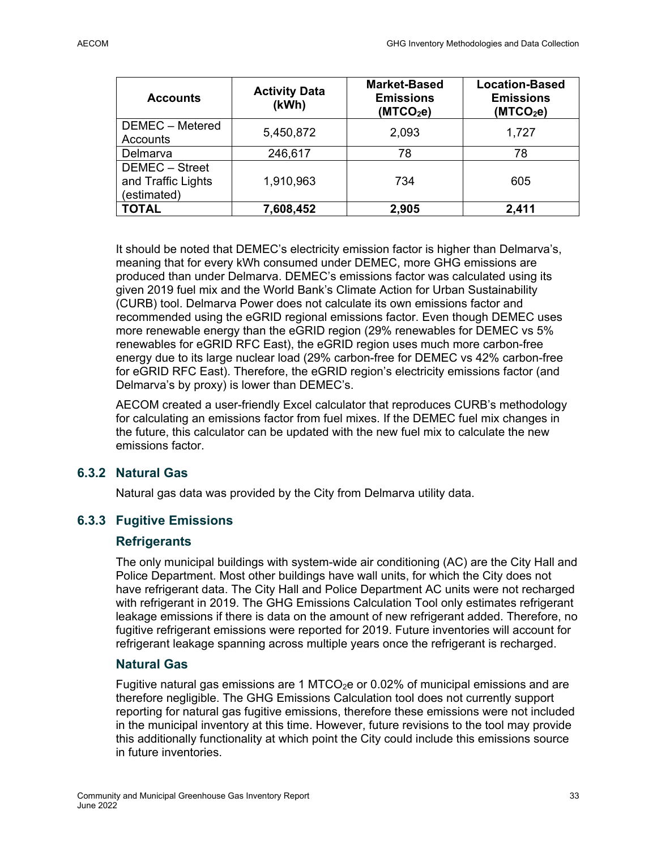| <b>Accounts</b>                                     | <b>Activity Data</b><br>(kWh) | <b>Market-Based</b><br><b>Emissions</b><br>(MTCO <sub>2</sub> e) | <b>Location-Based</b><br><b>Emissions</b><br>(MTCO <sub>2</sub> e) |
|-----------------------------------------------------|-------------------------------|------------------------------------------------------------------|--------------------------------------------------------------------|
| DEMEC - Metered<br>Accounts                         | 5,450,872                     | 2,093                                                            | 1,727                                                              |
| Delmarva                                            | 246,617                       | 78                                                               | 78                                                                 |
| DEMEC - Street<br>and Traffic Lights<br>(estimated) | 1,910,963                     | 734                                                              | 605                                                                |
| <b>TOTAL</b>                                        | 7,608,452                     | 2,905                                                            | 2,411                                                              |

It should be noted that DEMEC's electricity emission factor is higher than Delmarva's, meaning that for every kWh consumed under DEMEC, more GHG emissions are produced than under Delmarva. DEMEC's emissions factor was calculated using its given 2019 fuel mix and the World Bank's Climate Action for Urban Sustainability (CURB) tool. Delmarva Power does not calculate its own emissions factor and recommended using the eGRID regional emissions factor. Even though DEMEC uses more renewable energy than the eGRID region (29% renewables for DEMEC vs 5% renewables for eGRID RFC East), the eGRID region uses much more carbon-free energy due to its large nuclear load (29% carbon-free for DEMEC vs 42% carbon-free for eGRID RFC East). Therefore, the eGRID region's electricity emissions factor (and Delmarva's by proxy) is lower than DEMEC's.

AECOM created a user-friendly Excel calculator that reproduces CURB's methodology for calculating an emissions factor from fuel mixes. If the DEMEC fuel mix changes in the future, this calculator can be updated with the new fuel mix to calculate the new emissions factor.

### **6.3.2 Natural Gas**

Natural gas data was provided by the City from Delmarva utility data.

### **6.3.3 Fugitive Emissions**

### **Refrigerants**

The only municipal buildings with system-wide air conditioning (AC) are the City Hall and Police Department. Most other buildings have wall units, for which the City does not have refrigerant data. The City Hall and Police Department AC units were not recharged with refrigerant in 2019. The GHG Emissions Calculation Tool only estimates refrigerant leakage emissions if there is data on the amount of new refrigerant added. Therefore, no fugitive refrigerant emissions were reported for 2019. Future inventories will account for refrigerant leakage spanning across multiple years once the refrigerant is recharged.

### **Natural Gas**

Fugitive natural gas emissions are 1 MTCO<sub>2</sub>e or 0.02% of municipal emissions and are therefore negligible. The GHG Emissions Calculation tool does not currently support reporting for natural gas fugitive emissions, therefore these emissions were not included in the municipal inventory at this time. However, future revisions to the tool may provide this additionally functionality at which point the City could include this emissions source in future inventories.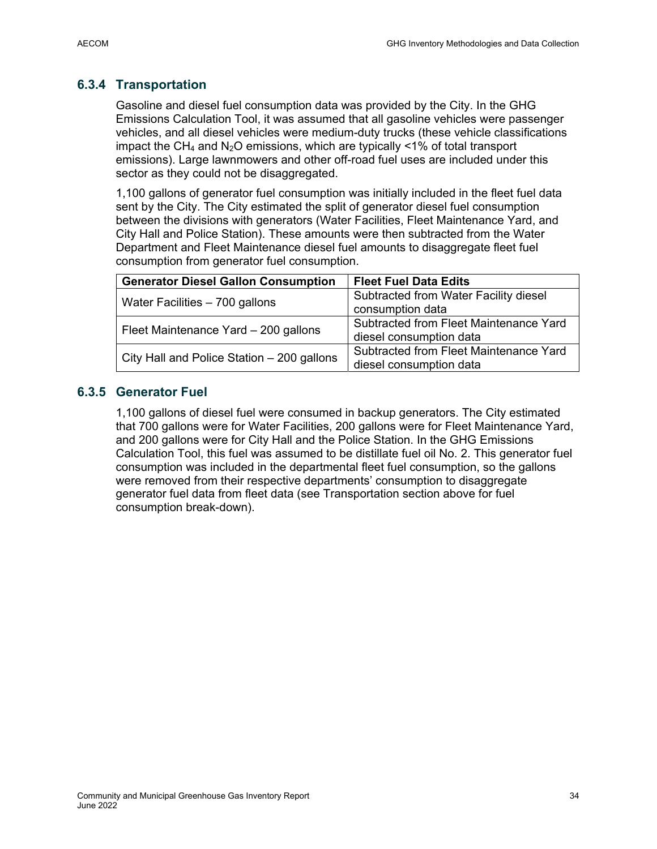### **6.3.4 Transportation**

Gasoline and diesel fuel consumption data was provided by the City. In the GHG Emissions Calculation Tool, it was assumed that all gasoline vehicles were passenger vehicles, and all diesel vehicles were medium-duty trucks (these vehicle classifications impact the CH<sub>4</sub> and N<sub>2</sub>O emissions, which are typically <1% of total transport emissions). Large lawnmowers and other off-road fuel uses are included under this sector as they could not be disaggregated.

1,100 gallons of generator fuel consumption was initially included in the fleet fuel data sent by the City. The City estimated the split of generator diesel fuel consumption between the divisions with generators (Water Facilities, Fleet Maintenance Yard, and City Hall and Police Station). These amounts were then subtracted from the Water Department and Fleet Maintenance diesel fuel amounts to disaggregate fleet fuel consumption from generator fuel consumption.

| <b>Generator Diesel Gallon Consumption</b> | <b>Fleet Fuel Data Edits</b>           |
|--------------------------------------------|----------------------------------------|
|                                            | Subtracted from Water Facility diesel  |
| Water Facilities - 700 gallons             | consumption data                       |
|                                            | Subtracted from Fleet Maintenance Yard |
| Fleet Maintenance Yard - 200 gallons       | diesel consumption data                |
|                                            | Subtracted from Fleet Maintenance Yard |
| City Hall and Police Station - 200 gallons | diesel consumption data                |

### **6.3.5 Generator Fuel**

1,100 gallons of diesel fuel were consumed in backup generators. The City estimated that 700 gallons were for Water Facilities, 200 gallons were for Fleet Maintenance Yard, and 200 gallons were for City Hall and the Police Station. In the GHG Emissions Calculation Tool, this fuel was assumed to be distillate fuel oil No. 2. This generator fuel consumption was included in the departmental fleet fuel consumption, so the gallons were removed from their respective departments' consumption to disaggregate generator fuel data from fleet data (see Transportation section above for fuel consumption break-down).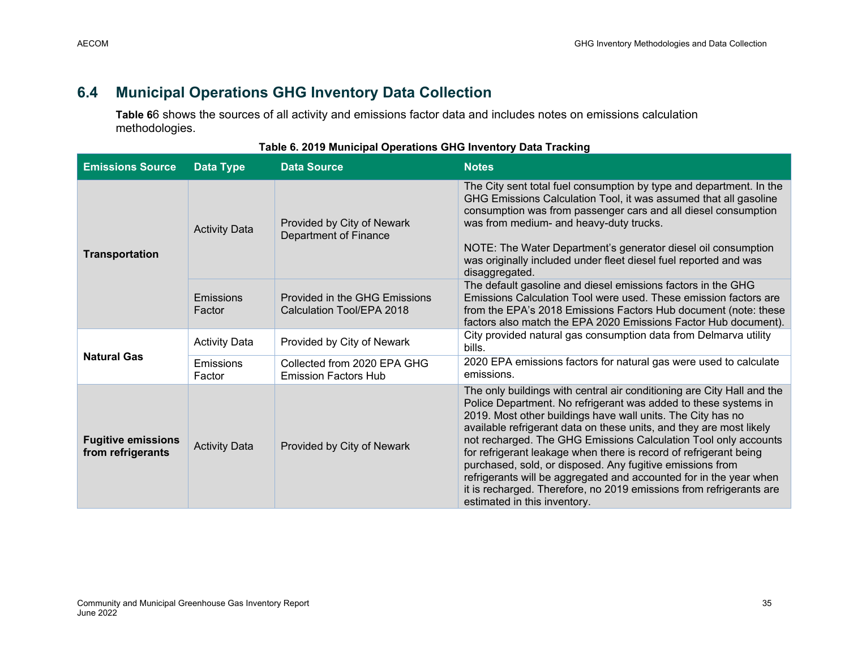### **6.4 Municipal Operations GHG Inventory Data Collection**

**Table 6**6 shows the sources of all activity and emissions factor data and includes notes on emissions calculation methodologies.

| <b>Emissions Source</b>                        | Data Type            | <b>Data Source</b>                                         | <b>Notes</b>                                                                                                                                                                                                                                                                                                                                                                                                                                                                                                                                                                                                                                                      |
|------------------------------------------------|----------------------|------------------------------------------------------------|-------------------------------------------------------------------------------------------------------------------------------------------------------------------------------------------------------------------------------------------------------------------------------------------------------------------------------------------------------------------------------------------------------------------------------------------------------------------------------------------------------------------------------------------------------------------------------------------------------------------------------------------------------------------|
| <b>Transportation</b>                          | <b>Activity Data</b> | Provided by City of Newark<br>Department of Finance        | The City sent total fuel consumption by type and department. In the<br>GHG Emissions Calculation Tool, it was assumed that all gasoline<br>consumption was from passenger cars and all diesel consumption<br>was from medium- and heavy-duty trucks.<br>NOTE: The Water Department's generator diesel oil consumption<br>was originally included under fleet diesel fuel reported and was<br>disaggregated.                                                                                                                                                                                                                                                       |
|                                                | Emissions<br>Factor  | Provided in the GHG Emissions<br>Calculation Tool/EPA 2018 | The default gasoline and diesel emissions factors in the GHG<br>Emissions Calculation Tool were used. These emission factors are<br>from the EPA's 2018 Emissions Factors Hub document (note: these<br>factors also match the EPA 2020 Emissions Factor Hub document).                                                                                                                                                                                                                                                                                                                                                                                            |
| <b>Natural Gas</b>                             | <b>Activity Data</b> | Provided by City of Newark                                 | City provided natural gas consumption data from Delmarva utility<br>bills.                                                                                                                                                                                                                                                                                                                                                                                                                                                                                                                                                                                        |
|                                                | Emissions<br>Factor  | Collected from 2020 EPA GHG<br><b>Emission Factors Hub</b> | 2020 EPA emissions factors for natural gas were used to calculate<br>emissions.                                                                                                                                                                                                                                                                                                                                                                                                                                                                                                                                                                                   |
| <b>Fugitive emissions</b><br>from refrigerants | <b>Activity Data</b> | Provided by City of Newark                                 | The only buildings with central air conditioning are City Hall and the<br>Police Department. No refrigerant was added to these systems in<br>2019. Most other buildings have wall units. The City has no<br>available refrigerant data on these units, and they are most likely<br>not recharged. The GHG Emissions Calculation Tool only accounts<br>for refrigerant leakage when there is record of refrigerant being<br>purchased, sold, or disposed. Any fugitive emissions from<br>refrigerants will be aggregated and accounted for in the year when<br>it is recharged. Therefore, no 2019 emissions from refrigerants are<br>estimated in this inventory. |

#### **Table 6. 2019 Municipal Operations GHG Inventory Data Tracking**